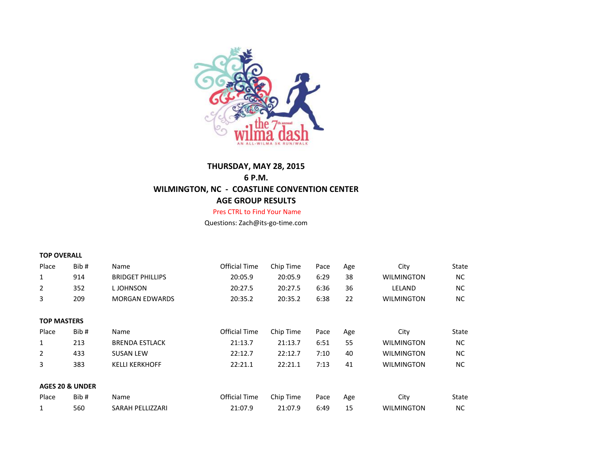

## **THURSDAY, MAY 28, 2015 6 P.M. WILMINGTON, NC - COASTLINE CONVENTION CENTER AGE GROUP RESULTS**

## Pres CTRL to Find Your Name

Questions: Zach@its-go-time.com

## **TOP OVERALL**

| Place                      | Bib# | Name                    | <b>Official Time</b> | Chip Time | Pace | Age | City              | State     |
|----------------------------|------|-------------------------|----------------------|-----------|------|-----|-------------------|-----------|
| $\mathbf{1}$               | 914  | <b>BRIDGET PHILLIPS</b> | 20:05.9              | 20:05.9   | 6:29 | 38  | <b>WILMINGTON</b> | <b>NC</b> |
| $\overline{2}$             | 352  | L JOHNSON               | 20:27.5              | 20:27.5   | 6:36 | 36  | LELAND            | <b>NC</b> |
| 3                          | 209  | <b>MORGAN EDWARDS</b>   | 20:35.2              | 20:35.2   | 6:38 | 22  | <b>WILMINGTON</b> | <b>NC</b> |
|                            |      |                         |                      |           |      |     |                   |           |
| <b>TOP MASTERS</b>         |      |                         |                      |           |      |     |                   |           |
| Place                      | Bib# | Name                    | <b>Official Time</b> | Chip Time | Pace | Age | City              | State     |
| $\mathbf{1}$               | 213  | <b>BRENDA ESTLACK</b>   | 21:13.7              | 21:13.7   | 6:51 | 55  | <b>WILMINGTON</b> | <b>NC</b> |
| $\overline{2}$             | 433  | <b>SUSAN LEW</b>        | 22:12.7              | 22:12.7   | 7:10 | 40  | <b>WILMINGTON</b> | <b>NC</b> |
| 3                          | 383  | <b>KELLI KERKHOFF</b>   | 22:21.1              | 22:21.1   | 7:13 | 41  | <b>WILMINGTON</b> | <b>NC</b> |
|                            |      |                         |                      |           |      |     |                   |           |
| <b>AGES 20 &amp; UNDER</b> |      |                         |                      |           |      |     |                   |           |
| Place                      | Bib# | Name                    | Official Time        | Chip Time | Pace | Age | City              | State     |
| $\mathbf{1}$               | 560  | SARAH PELLIZZARI        | 21:07.9              | 21:07.9   | 6:49 | 15  | <b>WILMINGTON</b> | <b>NC</b> |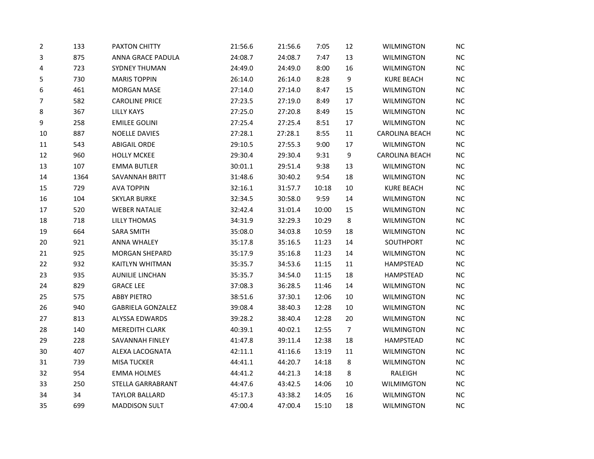| 2      | 133  | PAXTON CHITTY            | 21:56.6 | 21:56.6 | 7:05  | 12             | <b>WILMINGTON</b>     | <b>NC</b> |
|--------|------|--------------------------|---------|---------|-------|----------------|-----------------------|-----------|
| 3      | 875  | ANNA GRACE PADULA        | 24:08.7 | 24:08.7 | 7:47  | 13             | WILMINGTON            | NC        |
| 4      | 723  | SYDNEY THUMAN            | 24:49.0 | 24:49.0 | 8:00  | 16             | <b>WILMINGTON</b>     | NC        |
| 5      | 730  | <b>MARIS TOPPIN</b>      | 26:14.0 | 26:14.0 | 8:28  | 9              | <b>KURE BEACH</b>     | NC        |
| 6      | 461  | <b>MORGAN MASE</b>       | 27:14.0 | 27:14.0 | 8:47  | 15             | <b>WILMINGTON</b>     | <b>NC</b> |
| 7      | 582  | <b>CAROLINE PRICE</b>    | 27:23.5 | 27:19.0 | 8:49  | 17             | <b>WILMINGTON</b>     | NC.       |
| 8      | 367  | LILLY KAYS               | 27:25.0 | 27:20.8 | 8:49  | 15             | WILMINGTON            | NC        |
| 9      | 258  | <b>EMILEE GOLINI</b>     | 27:25.4 | 27:25.4 | 8:51  | 17             | WILMINGTON            | NC        |
| 10     | 887  | <b>NOELLE DAVIES</b>     | 27:28.1 | 27:28.1 | 8:55  | 11             | <b>CAROLINA BEACH</b> | NC        |
| 11     | 543  | <b>ABIGAIL ORDE</b>      | 29:10.5 | 27:55.3 | 9:00  | 17             | <b>WILMINGTON</b>     | NC        |
| $12\,$ | 960  | <b>HOLLY MCKEE</b>       | 29:30.4 | 29:30.4 | 9:31  | 9              | <b>CAROLINA BEACH</b> | <b>NC</b> |
| 13     | 107  | <b>EMMA BUTLER</b>       | 30:01.1 | 29:51.4 | 9:38  | 13             | WILMINGTON            | NC        |
| 14     | 1364 | SAVANNAH BRITT           | 31:48.6 | 30:40.2 | 9:54  | 18             | <b>WILMINGTON</b>     | <b>NC</b> |
| 15     | 729  | <b>AVA TOPPIN</b>        | 32:16.1 | 31:57.7 | 10:18 | 10             | <b>KURE BEACH</b>     | NC        |
| 16     | 104  | <b>SKYLAR BURKE</b>      | 32:34.5 | 30:58.0 | 9:59  | 14             | <b>WILMINGTON</b>     | NC        |
| $17\,$ | 520  | <b>WEBER NATALIE</b>     | 32:42.4 | 31:01.4 | 10:00 | 15             | WILMINGTON            | <b>NC</b> |
| 18     | 718  | <b>LILLY THOMAS</b>      | 34:31.9 | 32:29.3 | 10:29 | 8              | <b>WILMINGTON</b>     | NC        |
| 19     | 664  | <b>SARA SMITH</b>        | 35:08.0 | 34:03.8 | 10:59 | 18             | <b>WILMINGTON</b>     | NC        |
| $20\,$ | 921  | <b>ANNA WHALEY</b>       | 35:17.8 | 35:16.5 | 11:23 | 14             | SOUTHPORT             | <b>NC</b> |
| 21     | 925  | <b>MORGAN SHEPARD</b>    | 35:17.9 | 35:16.8 | 11:23 | 14             | <b>WILMINGTON</b>     | NC.       |
| 22     | 932  | KAITLYN WHITMAN          | 35:35.7 | 34:53.6 | 11:15 | $11\,$         | <b>HAMPSTEAD</b>      | NC        |
| 23     | 935  | <b>AUNILIE LINCHAN</b>   | 35:35.7 | 34:54.0 | 11:15 | 18             | <b>HAMPSTEAD</b>      | NC        |
| 24     | 829  | <b>GRACE LEE</b>         | 37:08.3 | 36:28.5 | 11:46 | 14             | <b>WILMINGTON</b>     | NC        |
| 25     | 575  | <b>ABBY PIETRO</b>       | 38:51.6 | 37:30.1 | 12:06 | 10             | <b>WILMINGTON</b>     | NC        |
| 26     | 940  | <b>GABRIELA GONZALEZ</b> | 39:08.4 | 38:40.3 | 12:28 | 10             | WILMINGTON            | <b>NC</b> |
| 27     | 813  | ALYSSA EDWARDS           | 39:28.2 | 38:40.4 | 12:28 | 20             | <b>WILMINGTON</b>     | NC        |
| 28     | 140  | <b>MEREDITH CLARK</b>    | 40:39.1 | 40:02.1 | 12:55 | $\overline{7}$ | <b>WILMINGTON</b>     | NC        |
| 29     | 228  | SAVANNAH FINLEY          | 41:47.8 | 39:11.4 | 12:38 | 18             | <b>HAMPSTEAD</b>      | NC        |
| 30     | 407  | ALEXA LACOGNATA          | 42:11.1 | 41:16.6 | 13:19 | $11\,$         | <b>WILMINGTON</b>     | NC        |
| 31     | 739  | <b>MISA TUCKER</b>       | 44:41.1 | 44:20.7 | 14:18 | 8              | WILMINGTON            | <b>NC</b> |
| 32     | 954  | <b>EMMA HOLMES</b>       | 44:41.2 | 44:21.3 | 14:18 | 8              | RALEIGH               | NC        |
| 33     | 250  | STELLA GARRABRANT        | 44:47.6 | 43:42.5 | 14:06 | 10             | <b>WILMIMGTON</b>     | NC        |
| 34     | 34   | <b>TAYLOR BALLARD</b>    | 45:17.3 | 43:38.2 | 14:05 | 16             | <b>WILMINGTON</b>     | NC        |
| 35     | 699  | <b>MADDISON SULT</b>     | 47:00.4 | 47:00.4 | 15:10 | 18             | <b>WILMINGTON</b>     | <b>NC</b> |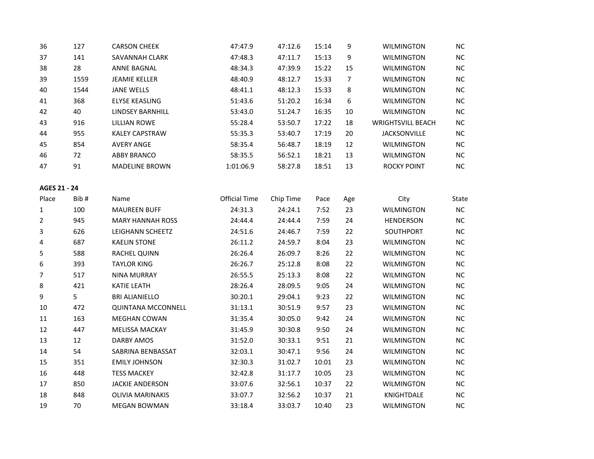| 36             | 127  | <b>CARSON CHEEK</b>       | 47:47.9              | 47:12.6   | 15:14 | 9              | <b>WILMINGTON</b>        | NC        |
|----------------|------|---------------------------|----------------------|-----------|-------|----------------|--------------------------|-----------|
| 37             | 141  | SAVANNAH CLARK            | 47:48.3              | 47:11.7   | 15:13 | 9              | <b>WILMINGTON</b>        | NC        |
| 38             | 28   | <b>ANNE BAGNAL</b>        | 48:34.3              | 47:39.9   | 15:22 | 15             | <b>WILMINGTON</b>        | NC        |
| 39             | 1559 | <b>JEAMIE KELLER</b>      | 48:40.9              | 48:12.7   | 15:33 | $\overline{7}$ | <b>WILMINGTON</b>        | NC        |
| 40             | 1544 | <b>JANE WELLS</b>         | 48:41.1              | 48:12.3   | 15:33 | 8              | <b>WILMINGTON</b>        | NC        |
| 41             | 368  | <b>ELYSE KEASLING</b>     | 51:43.6              | 51:20.2   | 16:34 | 6              | <b>WILMINGTON</b>        | NC        |
| 42             | 40   | <b>LINDSEY BARNHILL</b>   | 53:43.0              | 51:24.7   | 16:35 | 10             | <b>WILMINGTON</b>        | NC        |
| 43             | 916  | <b>LILLIAN ROWE</b>       | 55:28.4              | 53:50.7   | 17:22 | 18             | <b>WRIGHTSVILL BEACH</b> | NC        |
| 44             | 955  | <b>KALEY CAPSTRAW</b>     | 55:35.3              | 53:40.7   | 17:19 | 20             | JACKSONVILLE             | NC        |
| 45             | 854  | <b>AVERY ANGE</b>         | 58:35.4              | 56:48.7   | 18:19 | 12             | <b>WILMINGTON</b>        | NC        |
| 46             | 72   | <b>ABBY BRANCO</b>        | 58:35.5              | 56:52.1   | 18:21 | 13             | <b>WILMINGTON</b>        | NC        |
| 47             | 91   | <b>MADELINE BROWN</b>     | 1:01:06.9            | 58:27.8   | 18:51 | 13             | <b>ROCKY POINT</b>       | NC        |
| AGES 21 - 24   |      |                           |                      |           |       |                |                          |           |
| Place          | Bib# | Name                      | <b>Official Time</b> | Chip Time | Pace  | Age            | City                     | State     |
| $\mathbf{1}$   | 100  | <b>MAUREEN BUFF</b>       | 24:31.3              | 24:24.1   | 7:52  | 23             | <b>WILMINGTON</b>        | NC        |
| $\overline{2}$ | 945  | <b>MARY HANNAH ROSS</b>   | 24:44.4              | 24:44.4   | 7:59  | 24             | <b>HENDERSON</b>         | NC        |
| 3              | 626  | LEIGHANN SCHEETZ          | 24:51.6              | 24:46.7   | 7:59  | 22             | SOUTHPORT                | NC        |
| 4              | 687  | <b>KAELIN STONE</b>       | 26:11.2              | 24:59.7   | 8:04  | 23             | <b>WILMINGTON</b>        | <b>NC</b> |
| 5              | 588  | RACHEL QUINN              | 26:26.4              | 26:09.7   | 8:26  | 22             | <b>WILMINGTON</b>        | NC        |
| 6              | 393  | <b>TAYLOR KING</b>        | 26:26.7              | 25:12.8   | 8:08  | 22             | <b>WILMINGTON</b>        | NC        |
| $\overline{7}$ | 517  | <b>NINA MURRAY</b>        | 26:55.5              | 25:13.3   | 8:08  | 22             | <b>WILMINGTON</b>        | NC        |
| 8              | 421  | KATIE LEATH               | 28:26.4              | 28:09.5   | 9:05  | 24             | <b>WILMINGTON</b>        | NC        |
| 9              | 5    | <b>BRI ALIANIELLO</b>     | 30:20.1              | 29:04.1   | 9:23  | 22             | <b>WILMINGTON</b>        | NC        |
| 10             | 472  | <b>QUINTANA MCCONNELL</b> | 31:13.1              | 30:51.9   | 9:57  | 23             | <b>WILMINGTON</b>        | NC        |
| 11             | 163  | <b>MEGHAN COWAN</b>       | 31:35.4              | 30:05.0   | 9:42  | 24             | <b>WILMINGTON</b>        | NC        |
| 12             | 447  | <b>MELISSA MACKAY</b>     | 31:45.9              | 30:30.8   | 9:50  | 24             | <b>WILMINGTON</b>        | NC        |
| 13             | 12   | <b>DARBY AMOS</b>         | 31:52.0              | 30:33.1   | 9:51  | 21             | WILMINGTON               | NC        |
| 14             | 54   | SABRINA BENBASSAT         | 32:03.1              | 30:47.1   | 9:56  | 24             | <b>WILMINGTON</b>        | <b>NC</b> |
| 15             | 351  | <b>EMILY JOHNSON</b>      | 32:30.3              | 31:02.7   | 10:01 | 23             | WILMINGTON               | NC        |
| 16             | 448  | <b>TESS MACKEY</b>        | 32:42.8              | 31:17.7   | 10:05 | 23             | <b>WILMINGTON</b>        | <b>NC</b> |
| 17             | 850  | <b>JACKIE ANDERSON</b>    | 33:07.6              | 32:56.1   | 10:37 | 22             | <b>WILMINGTON</b>        | NC        |
| 18             | 848  | <b>OLIVIA MARINAKIS</b>   | 33:07.7              | 32:56.2   | 10:37 | 21             | KNIGHTDALE               | <b>NC</b> |
| 19             | 70   | <b>MEGAN BOWMAN</b>       | 33:18.4              | 33:03.7   | 10:40 | 23             | <b>WILMINGTON</b>        | NC.       |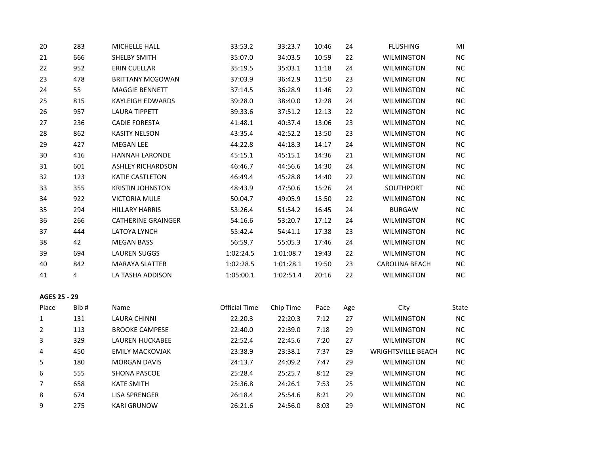| 20 | 283 | <b>MICHELLE HALL</b>      | 33:53.2   | 33:23.7   | 10:46 | 24 | <b>FLUSHING</b>       | MI  |
|----|-----|---------------------------|-----------|-----------|-------|----|-----------------------|-----|
| 21 | 666 | SHELBY SMITH              | 35:07.0   | 34:03.5   | 10:59 | 22 | <b>WILMINGTON</b>     | NC. |
| 22 | 952 | <b>ERIN CUELLAR</b>       | 35:19.5   | 35:03.1   | 11:18 | 24 | <b>WILMINGTON</b>     | NC. |
| 23 | 478 | <b>BRITTANY MCGOWAN</b>   | 37:03.9   | 36:42.9   | 11:50 | 23 | <b>WILMINGTON</b>     | NC. |
| 24 | 55  | <b>MAGGIE BENNETT</b>     | 37:14.5   | 36:28.9   | 11:46 | 22 | <b>WILMINGTON</b>     | NC. |
| 25 | 815 | <b>KAYLEIGH EDWARDS</b>   | 39:28.0   | 38:40.0   | 12:28 | 24 | <b>WILMINGTON</b>     | NC. |
| 26 | 957 | <b>LAURA TIPPETT</b>      | 39:33.6   | 37:51.2   | 12:13 | 22 | <b>WILMINGTON</b>     | NC. |
| 27 | 236 | <b>CADIE FORESTA</b>      | 41:48.1   | 40:37.4   | 13:06 | 23 | <b>WILMINGTON</b>     | NC. |
| 28 | 862 | <b>KASITY NELSON</b>      | 43:35.4   | 42:52.2   | 13:50 | 23 | <b>WILMINGTON</b>     | NC. |
| 29 | 427 | <b>MEGAN LEE</b>          | 44:22.8   | 44:18.3   | 14:17 | 24 | <b>WILMINGTON</b>     | NC. |
| 30 | 416 | <b>HANNAH LARONDE</b>     | 45:15.1   | 45:15.1   | 14:36 | 21 | <b>WILMINGTON</b>     | NC. |
| 31 | 601 | <b>ASHLEY RICHARDSON</b>  | 46:46.7   | 44:56.6   | 14:30 | 24 | <b>WILMINGTON</b>     | NC. |
| 32 | 123 | <b>KATIE CASTLETON</b>    | 46:49.4   | 45:28.8   | 14:40 | 22 | <b>WILMINGTON</b>     | NC. |
| 33 | 355 | <b>KRISTIN JOHNSTON</b>   | 48:43.9   | 47:50.6   | 15:26 | 24 | SOUTHPORT             | NC. |
| 34 | 922 | <b>VICTORIA MULE</b>      | 50:04.7   | 49:05.9   | 15:50 | 22 | <b>WILMINGTON</b>     | NC. |
| 35 | 294 | <b>HILLARY HARRIS</b>     | 53:26.4   | 51:54.2   | 16:45 | 24 | <b>BURGAW</b>         | NC. |
| 36 | 266 | <b>CATHERINE GRAINGER</b> | 54:16.6   | 53:20.7   | 17:12 | 24 | <b>WILMINGTON</b>     | NC. |
| 37 | 444 | LATOYA LYNCH              | 55:42.4   | 54:41.1   | 17:38 | 23 | <b>WILMINGTON</b>     | NC. |
| 38 | 42  | <b>MEGAN BASS</b>         | 56:59.7   | 55:05.3   | 17:46 | 24 | <b>WILMINGTON</b>     | NC. |
| 39 | 694 | <b>LAUREN SUGGS</b>       | 1:02:24.5 | 1:01:08.7 | 19:43 | 22 | <b>WILMINGTON</b>     | NC. |
| 40 | 842 | <b>MARAYA SLATTER</b>     | 1:02:28.5 | 1:01:28.1 | 19:50 | 23 | <b>CAROLINA BEACH</b> | NC. |
| 41 | 4   | LA TASHA ADDISON          | 1:05:00.1 | 1:02:51.4 | 20:16 | 22 | <b>WILMINGTON</b>     | NC. |
|    |     |                           |           |           |       |    |                       |     |

| AGES 25 - 29 |  |  |  |
|--------------|--|--|--|
|--------------|--|--|--|

| Place | Bib# | <b>Name</b>            | Official Time | Chip Time | Pace | Age | City                      | State     |
|-------|------|------------------------|---------------|-----------|------|-----|---------------------------|-----------|
|       | 131  | LAURA CHINNI           | 22:20.3       | 22:20.3   | 7:12 | 27  | <b>WILMINGTON</b>         | <b>NC</b> |
|       | 113  | <b>BROOKE CAMPESE</b>  | 22:40.0       | 22:39.0   | 7:18 | 29  | <b>WILMINGTON</b>         | <b>NC</b> |
| 3     | 329  | LAUREN HUCKABEE        | 22:52.4       | 22:45.6   | 7:20 | 27  | <b>WILMINGTON</b>         | <b>NC</b> |
| 4     | 450  | <b>EMILY MACKOVJAK</b> | 23:38.9       | 23:38.1   | 7:37 | 29  | <b>WRIGHTSVILLE BEACH</b> | <b>NC</b> |
| 5     | 180  | <b>MORGAN DAVIS</b>    | 24:13.7       | 24:09.2   | 7:47 | 29  | <b>WILMINGTON</b>         | <b>NC</b> |
| 6     | 555  | SHONA PASCOE           | 25:28.4       | 25:25.7   | 8:12 | 29  | <b>WILMINGTON</b>         | <b>NC</b> |
|       | 658  | <b>KATE SMITH</b>      | 25:36.8       | 24:26.1   | 7:53 | 25  | <b>WILMINGTON</b>         | <b>NC</b> |
| 8     | 674  | <b>LISA SPRENGER</b>   | 26:18.4       | 25:54.6   | 8:21 | 29  | <b>WILMINGTON</b>         | <b>NC</b> |
| 9     | 275  | <b>KARI GRUNOW</b>     | 26:21.6       | 24:56.0   | 8:03 | 29  | <b>WILMINGTON</b>         | <b>NC</b> |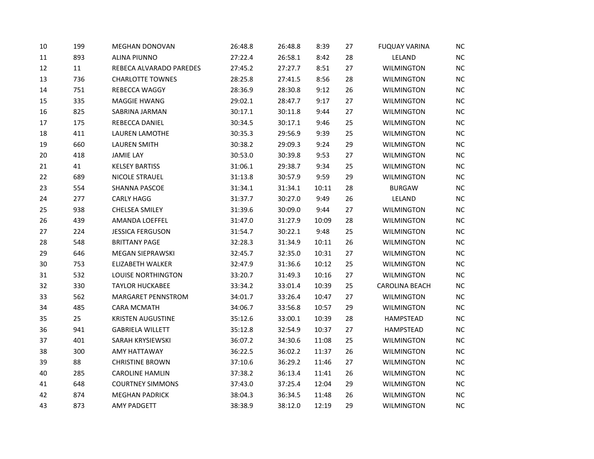| 10     | 199 | MEGHAN DONOVAN           | 26:48.8 | 26:48.8 | 8:39  | 27 | <b>FUQUAY VARINA</b>  | NC.       |
|--------|-----|--------------------------|---------|---------|-------|----|-----------------------|-----------|
| 11     | 893 | <b>ALINA PIUNNO</b>      | 27:22.4 | 26:58.1 | 8:42  | 28 | LELAND                | NC        |
| 12     | 11  | REBECA ALVARADO PAREDES  | 27:45.2 | 27:27.7 | 8:51  | 27 | <b>WILMINGTON</b>     | NC        |
| 13     | 736 | <b>CHARLOTTE TOWNES</b>  | 28:25.8 | 27:41.5 | 8:56  | 28 | WILMINGTON            | NC        |
| 14     | 751 | REBECCA WAGGY            | 28:36.9 | 28:30.8 | 9:12  | 26 | <b>WILMINGTON</b>     | <b>NC</b> |
| 15     | 335 | MAGGIE HWANG             | 29:02.1 | 28:47.7 | 9:17  | 27 | <b>WILMINGTON</b>     | NC        |
| 16     | 825 | SABRINA JARMAN           | 30:17.1 | 30:11.8 | 9:44  | 27 | <b>WILMINGTON</b>     | NC        |
| 17     | 175 | REBECCA DANIEL           | 30:34.5 | 30:17.1 | 9:46  | 25 | WILMINGTON            | NC        |
| 18     | 411 | <b>LAUREN LAMOTHE</b>    | 30:35.3 | 29:56.9 | 9:39  | 25 | <b>WILMINGTON</b>     | NC        |
| 19     | 660 | <b>LAUREN SMITH</b>      | 30:38.2 | 29:09.3 | 9:24  | 29 | <b>WILMINGTON</b>     | NC        |
| $20\,$ | 418 | <b>JAMIE LAY</b>         | 30:53.0 | 30:39.8 | 9:53  | 27 | <b>WILMINGTON</b>     | NC        |
| 21     | 41  | <b>KELSEY BARTISS</b>    | 31:06.1 | 29:38.7 | 9:34  | 25 | <b>WILMINGTON</b>     | NC        |
| 22     | 689 | NICOLE STRAUEL           | 31:13.8 | 30:57.9 | 9:59  | 29 | <b>WILMINGTON</b>     | <b>NC</b> |
| 23     | 554 | SHANNA PASCOE            | 31:34.1 | 31:34.1 | 10:11 | 28 | <b>BURGAW</b>         | NC        |
| 24     | 277 | <b>CARLY HAGG</b>        | 31:37.7 | 30:27.0 | 9:49  | 26 | LELAND                | NC        |
| 25     | 938 | CHELSEA SMILEY           | 31:39.6 | 30:09.0 | 9:44  | 27 | WILMINGTON            | <b>NC</b> |
| 26     | 439 | AMANDA LOEFFEL           | 31:47.0 | 31:27.9 | 10:09 | 28 | <b>WILMINGTON</b>     | NC        |
| 27     | 224 | <b>JESSICA FERGUSON</b>  | 31:54.7 | 30:22.1 | 9:48  | 25 | <b>WILMINGTON</b>     | NC        |
| 28     | 548 | <b>BRITTANY PAGE</b>     | 32:28.3 | 31:34.9 | 10:11 | 26 | <b>WILMINGTON</b>     | <b>NC</b> |
| 29     | 646 | MEGAN SIEPRAWSKI         | 32:45.7 | 32:35.0 | 10:31 | 27 | <b>WILMINGTON</b>     | NC        |
| 30     | 753 | <b>ELIZABETH WALKER</b>  | 32:47.9 | 31:36.6 | 10:12 | 25 | <b>WILMINGTON</b>     | NC        |
| 31     | 532 | LOUISE NORTHINGTON       | 33:20.7 | 31:49.3 | 10:16 | 27 | <b>WILMINGTON</b>     | NC        |
| 32     | 330 | <b>TAYLOR HUCKABEE</b>   | 33:34.2 | 33:01.4 | 10:39 | 25 | <b>CAROLINA BEACH</b> | NC        |
| 33     | 562 | MARGARET PENNSTROM       | 34:01.7 | 33:26.4 | 10:47 | 27 | <b>WILMINGTON</b>     | NC        |
| 34     | 485 | <b>CARA MCMATH</b>       | 34:06.7 | 33:56.8 | 10:57 | 29 | WILMINGTON            | NC        |
| 35     | 25  | <b>KRISTEN AUGUSTINE</b> | 35:12.6 | 33:00.1 | 10:39 | 28 | HAMPSTEAD             | NC        |
| 36     | 941 | <b>GABRIELA WILLETT</b>  | 35:12.8 | 32:54.9 | 10:37 | 27 | HAMPSTEAD             | NC        |
| 37     | 401 | SARAH KRYSIEWSKI         | 36:07.2 | 34:30.6 | 11:08 | 25 | <b>WILMINGTON</b>     | NC        |
| 38     | 300 | AMY HATTAWAY             | 36:22.5 | 36:02.2 | 11:37 | 26 | <b>WILMINGTON</b>     | NC        |
| 39     | 88  | <b>CHRISTINE BROWN</b>   | 37:10.6 | 36:29.2 | 11:46 | 27 | <b>WILMINGTON</b>     | <b>NC</b> |
| 40     | 285 | <b>CAROLINE HAMLIN</b>   | 37:38.2 | 36:13.4 | 11:41 | 26 | <b>WILMINGTON</b>     | NC        |
| 41     | 648 | <b>COURTNEY SIMMONS</b>  | 37:43.0 | 37:25.4 | 12:04 | 29 | <b>WILMINGTON</b>     | NC        |
| 42     | 874 | <b>MEGHAN PADRICK</b>    | 38:04.3 | 36:34.5 | 11:48 | 26 | <b>WILMINGTON</b>     | NC        |
| 43     | 873 | <b>AMY PADGETT</b>       | 38:38.9 | 38:12.0 | 12:19 | 29 | <b>WILMINGTON</b>     | NC        |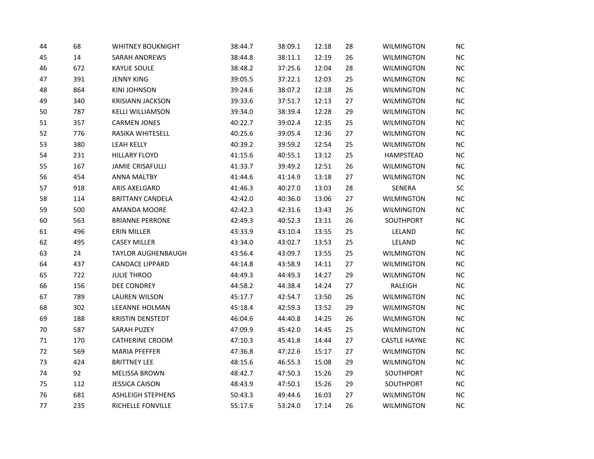| 44 | 68  | <b>WHITNEY BOUKNIGHT</b> | 38:44.7 | 38:09.1 | 12:18 | 28 | <b>WILMINGTON</b>   | <b>NC</b> |
|----|-----|--------------------------|---------|---------|-------|----|---------------------|-----------|
| 45 | 14  | SARAH ANDREWS            | 38:44.8 | 38:11.1 | 12:19 | 26 | <b>WILMINGTON</b>   | <b>NC</b> |
| 46 | 672 | <b>KAYLIE SOULE</b>      | 38:48.2 | 37:25.6 | 12:04 | 28 | <b>WILMINGTON</b>   | NC        |
| 47 | 391 | <b>JENNY KING</b>        | 39:05.5 | 37:22.1 | 12:03 | 25 | <b>WILMINGTON</b>   | NC        |
| 48 | 864 | <b>KINI JOHNSON</b>      | 39:24.6 | 38:07.2 | 12:18 | 26 | <b>WILMINGTON</b>   | <b>NC</b> |
| 49 | 340 | <b>KRISIANN JACKSON</b>  | 39:33.6 | 37:51.7 | 12:13 | 27 | <b>WILMINGTON</b>   | NC.       |
| 50 | 787 | <b>KELLI WILLIAMSON</b>  | 39:34.0 | 38:39.4 | 12:28 | 29 | WILMINGTON          | NC        |
| 51 | 357 | <b>CARMEN JONES</b>      | 40:22.7 | 39:02.4 | 12:35 | 25 | WILMINGTON          | NC        |
| 52 | 776 | RASIKA WHITESELL         | 40:25.6 | 39:05.4 | 12:36 | 27 | <b>WILMINGTON</b>   | NC        |
| 53 | 380 | <b>LEAH KELLY</b>        | 40:39.2 | 39:59.2 | 12:54 | 25 | <b>WILMINGTON</b>   | NC        |
| 54 | 231 | <b>HILLARY FLOYD</b>     | 41:15.6 | 40:55.1 | 13:12 | 25 | <b>HAMPSTEAD</b>    | <b>NC</b> |
| 55 | 167 | <b>JAMIE CRISAFULLI</b>  | 41:33.7 | 39:49.2 | 12:51 | 26 | <b>WILMINGTON</b>   | NC        |
| 56 | 454 | <b>ANNA MALTBY</b>       | 41:44.6 | 41:14.9 | 13:18 | 27 | <b>WILMINGTON</b>   | <b>NC</b> |
| 57 | 918 | ARIS AXELGARD            | 41:46.3 | 40:27.0 | 13:03 | 28 | SENERA              | SC        |
| 58 | 114 | <b>BRITTANY CANDELA</b>  | 42:42.0 | 40:36.0 | 13:06 | 27 | <b>WILMINGTON</b>   | NC        |
| 59 | 500 | AMANDA MOORE             | 42:42.3 | 42:31.6 | 13:43 | 26 | WILMINGTON          | <b>NC</b> |
| 60 | 563 | <b>BRIANNE PERRONE</b>   | 42:49.3 | 40:52.3 | 13:11 | 26 | SOUTHPORT           | NC        |
| 61 | 496 | <b>ERIN MILLER</b>       | 43:33.9 | 43:10.4 | 13:55 | 25 | LELAND              | NC        |
| 62 | 495 | <b>CASEY MILLER</b>      | 43:34.0 | 43:02.7 | 13:53 | 25 | LELAND              | <b>NC</b> |
| 63 | 24  | TAYLOR AUGHENBAUGH       | 43:56.4 | 43:09.7 | 13:55 | 25 | <b>WILMINGTON</b>   | NC.       |
| 64 | 437 | <b>CANDACE LIPPARD</b>   | 44:14.8 | 43:58.9 | 14:11 | 27 | <b>WILMINGTON</b>   | NC        |
| 65 | 722 | <b>JULIE THROO</b>       | 44:49.3 | 44:49.3 | 14:27 | 29 | <b>WILMINGTON</b>   | NC        |
| 66 | 156 | DEE CONDREY              | 44:58.2 | 44:38.4 | 14:24 | 27 | RALEIGH             | NC        |
| 67 | 789 | <b>LAUREN WILSON</b>     | 45:17.7 | 42:54.7 | 13:50 | 26 | <b>WILMINGTON</b>   | NC        |
| 68 | 302 | LEEANNE HOLMAN           | 45:18.4 | 42:59.3 | 13:52 | 29 | WILMINGTON          | <b>NC</b> |
| 69 | 188 | <b>KRISTIN DENSTEDT</b>  | 46:04.6 | 44:40.8 | 14:25 | 26 | <b>WILMINGTON</b>   | NC        |
| 70 | 587 | SARAH PUZEY              | 47:09.9 | 45:42.0 | 14:45 | 25 | <b>WILMINGTON</b>   | NC        |
| 71 | 170 | <b>CATHERINE CROOM</b>   | 47:10.3 | 45:41.8 | 14:44 | 27 | <b>CASTLE HAYNE</b> | NC        |
| 72 | 569 | <b>MARIA PFEFFER</b>     | 47:36.8 | 47:22.6 | 15:17 | 27 | <b>WILMINGTON</b>   | NC        |
| 73 | 424 | <b>BRITTNEY LEE</b>      | 48:15.6 | 46:55.3 | 15:08 | 29 | WILMINGTON          | <b>NC</b> |
| 74 | 92  | <b>MELISSA BROWN</b>     | 48:42.7 | 47:50.3 | 15:26 | 29 | SOUTHPORT           | NC        |
| 75 | 112 | <b>JESSICA CAISON</b>    | 48:43.9 | 47:50.1 | 15:26 | 29 | SOUTHPORT           | NC        |
| 76 | 681 | <b>ASHLEIGH STEPHENS</b> | 50:43.3 | 49:44.6 | 16:03 | 27 | <b>WILMINGTON</b>   | NC        |
| 77 | 235 | RICHELLE FONVILLE        | 55:17.6 | 53:24.0 | 17:14 | 26 | <b>WILMINGTON</b>   | <b>NC</b> |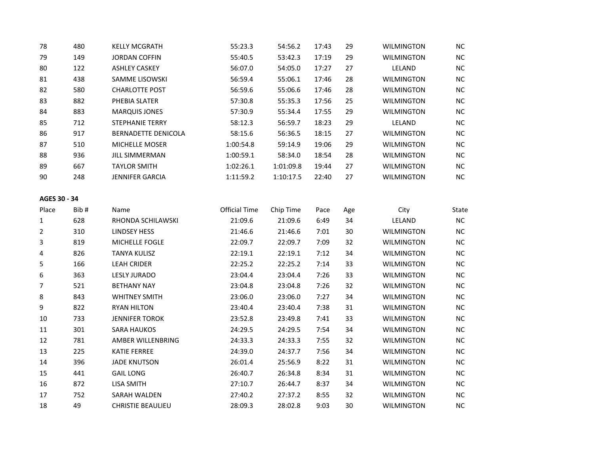| 78             | 480  | <b>KELLY MCGRATH</b>     | 55:23.3              | 54:56.2   | 17:43 | 29  | <b>WILMINGTON</b> | $NC$      |
|----------------|------|--------------------------|----------------------|-----------|-------|-----|-------------------|-----------|
| 79             | 149  | <b>JORDAN COFFIN</b>     | 55:40.5              | 53:42.3   | 17:19 | 29  | <b>WILMINGTON</b> | NC        |
| 80             | 122  | <b>ASHLEY CASKEY</b>     | 56:07.0              | 54:05.0   | 17:27 | 27  | LELAND            | NC.       |
| 81             | 438  | SAMME LISOWSKI           | 56:59.4              | 55:06.1   | 17:46 | 28  | <b>WILMINGTON</b> | NC.       |
| 82             | 580  | <b>CHARLOTTE POST</b>    | 56:59.6              | 55:06.6   | 17:46 | 28  | WILMINGTON        | <b>NC</b> |
| 83             | 882  | PHEBIA SLATER            | 57:30.8              | 55:35.3   | 17:56 | 25  | <b>WILMINGTON</b> | $NC$      |
| 84             | 883  | <b>MARQUIS JONES</b>     | 57:30.9              | 55:34.4   | 17:55 | 29  | <b>WILMINGTON</b> | $NC$      |
| 85             | 712  | <b>STEPHANIE TERRY</b>   | 58:12.3              | 56:59.7   | 18:23 | 29  | LELAND            | NC        |
| 86             | 917  | BERNADETTE DENICOLA      | 58:15.6              | 56:36.5   | 18:15 | 27  | <b>WILMINGTON</b> | <b>NC</b> |
| 87             | 510  | MICHELLE MOSER           | 1:00:54.8            | 59:14.9   | 19:06 | 29  | <b>WILMINGTON</b> | $NC$      |
| 88             | 936  | <b>JILL SIMMERMAN</b>    | 1:00:59.1            | 58:34.0   | 18:54 | 28  | <b>WILMINGTON</b> | $NC$      |
| 89             | 667  | <b>TAYLOR SMITH</b>      | 1:02:26.1            | 1:01:09.8 | 19:44 | 27  | <b>WILMINGTON</b> | NC        |
| 90             | 248  | <b>JENNIFER GARCIA</b>   | 1:11:59.2            | 1:10:17.5 | 22:40 | 27  | <b>WILMINGTON</b> | NC        |
| AGES 30 - 34   |      |                          |                      |           |       |     |                   |           |
| Place          | Bib# | Name                     | <b>Official Time</b> | Chip Time | Pace  | Age | City              | State     |
| 1              | 628  | RHONDA SCHILAWSKI        | 21:09.6              | 21:09.6   | 6:49  | 34  | LELAND            | NC        |
| $\overline{2}$ | 310  | <b>LINDSEY HESS</b>      | 21:46.6              | 21:46.6   | 7:01  | 30  | <b>WILMINGTON</b> | NC        |
| 3              | 819  | MICHELLE FOGLE           | 22:09.7              | 22:09.7   | 7:09  | 32  | <b>WILMINGTON</b> | <b>NC</b> |
| 4              | 826  | <b>TANYA KULISZ</b>      | 22:19.1              | 22:19.1   | 7:12  | 34  | <b>WILMINGTON</b> | $NC$      |
| 5              | 166  | <b>LEAH CRIDER</b>       | 22:25.2              | 22:25.2   | 7:14  | 33  | <b>WILMINGTON</b> | $NC$      |
| 6              | 363  | <b>LESLY JURADO</b>      | 23:04.4              | 23:04.4   | 7:26  | 33  | <b>WILMINGTON</b> | NC        |
| 7              | 521  | <b>BETHANY NAY</b>       | 23:04.8              | 23:04.8   | 7:26  | 32  | <b>WILMINGTON</b> | <b>NC</b> |
| 8              | 843  | <b>WHITNEY SMITH</b>     | 23:06.0              | 23:06.0   | 7:27  | 34  | <b>WILMINGTON</b> | NC.       |
| 9              | 822  | <b>RYAN HILTON</b>       | 23:40.4              | 23:40.4   | 7:38  | 31  | <b>WILMINGTON</b> | <b>NC</b> |
| 10             | 733  | <b>JENNIFER TOROK</b>    | 23:52.8              | 23:49.8   | 7:41  | 33  | <b>WILMINGTON</b> | NC        |
| 11             | 301  | <b>SARA HAUKOS</b>       | 24:29.5              | 24:29.5   | 7:54  | 34  | <b>WILMINGTON</b> | <b>NC</b> |
| 12             | 781  | AMBER WILLENBRING        | 24:33.3              | 24:33.3   | 7:55  | 32  | <b>WILMINGTON</b> | NC        |
| 13             | 225  | KATIE FERREE             | 24:39.0              | 24:37.7   | 7:56  | 34  | <b>WILMINGTON</b> | <b>NC</b> |
| 14             | 396  | <b>JADE KNUTSON</b>      | 26:01.4              | 25:56.9   | 8:22  | 31  | WILMINGTON        | NC        |
| 15             | 441  | <b>GAIL LONG</b>         | 26:40.7              | 26:34.8   | 8:34  | 31  | WILMINGTON        | $NC$      |
| 16             | 872  | <b>LISA SMITH</b>        | 27:10.7              | 26:44.7   | 8:37  | 34  | <b>WILMINGTON</b> | $NC$      |
| 17             | 752  | SARAH WALDEN             | 27:40.2              | 27:37.2   | 8:55  | 32  | <b>WILMINGTON</b> | NC        |
| 18             | 49   | <b>CHRISTIE BEAULIEU</b> | 28:09.3              | 28:02.8   | 9:03  | 30  | <b>WILMINGTON</b> | NC        |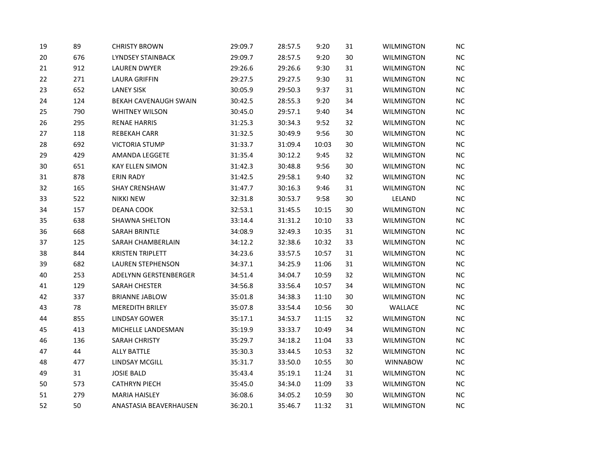| 19 | 89  | <b>CHRISTY BROWN</b>     | 29:09.7 | 28:57.5 | 9:20  | 31 | <b>WILMINGTON</b> | <b>NC</b> |
|----|-----|--------------------------|---------|---------|-------|----|-------------------|-----------|
| 20 | 676 | <b>LYNDSEY STAINBACK</b> | 29:09.7 | 28:57.5 | 9:20  | 30 | <b>WILMINGTON</b> | <b>NC</b> |
| 21 | 912 | <b>LAUREN DWYER</b>      | 29:26.6 | 29:26.6 | 9:30  | 31 | <b>WILMINGTON</b> | NC        |
| 22 | 271 | <b>LAURA GRIFFIN</b>     | 29:27.5 | 29:27.5 | 9:30  | 31 | <b>WILMINGTON</b> | NC        |
| 23 | 652 | <b>LANEY SISK</b>        | 30:05.9 | 29:50.3 | 9:37  | 31 | <b>WILMINGTON</b> | <b>NC</b> |
| 24 | 124 | BEKAH CAVENAUGH SWAIN    | 30:42.5 | 28:55.3 | 9:20  | 34 | <b>WILMINGTON</b> | NC.       |
| 25 | 790 | <b>WHITNEY WILSON</b>    | 30:45.0 | 29:57.1 | 9:40  | 34 | WILMINGTON        | NC        |
| 26 | 295 | <b>RENAE HARRIS</b>      | 31:25.3 | 30:34.3 | 9:52  | 32 | <b>WILMINGTON</b> | NC        |
| 27 | 118 | <b>REBEKAH CARR</b>      | 31:32.5 | 30:49.9 | 9:56  | 30 | <b>WILMINGTON</b> | NC        |
| 28 | 692 | <b>VICTORIA STUMP</b>    | 31:33.7 | 31:09.4 | 10:03 | 30 | WILMINGTON        | NC        |
| 29 | 429 | <b>AMANDA LEGGETE</b>    | 31:35.4 | 30:12.2 | 9:45  | 32 | <b>WILMINGTON</b> | <b>NC</b> |
| 30 | 651 | <b>KAY ELLEN SIMON</b>   | 31:42.3 | 30:48.8 | 9:56  | 30 | <b>WILMINGTON</b> | NC        |
| 31 | 878 | <b>ERIN RADY</b>         | 31:42.5 | 29:58.1 | 9:40  | 32 | WILMINGTON        | <b>NC</b> |
| 32 | 165 | <b>SHAY CRENSHAW</b>     | 31:47.7 | 30:16.3 | 9:46  | 31 | <b>WILMINGTON</b> | NC        |
| 33 | 522 | <b>NIKKI NEW</b>         | 32:31.8 | 30:53.7 | 9:58  | 30 | LELAND            | NC        |
| 34 | 157 | DEANA COOK               | 32:53.1 | 31:45.5 | 10:15 | 30 | WILMINGTON        | <b>NC</b> |
| 35 | 638 | SHAWNA SHELTON           | 33:14.4 | 31:31.2 | 10:10 | 33 | <b>WILMINGTON</b> | NC        |
| 36 | 668 | <b>SARAH BRINTLE</b>     | 34:08.9 | 32:49.3 | 10:35 | 31 | <b>WILMINGTON</b> | NC        |
| 37 | 125 | SARAH CHAMBERLAIN        | 34:12.2 | 32:38.6 | 10:32 | 33 | <b>WILMINGTON</b> | <b>NC</b> |
| 38 | 844 | <b>KRISTEN TRIPLETT</b>  | 34:23.6 | 33:57.5 | 10:57 | 31 | <b>WILMINGTON</b> | NC.       |
| 39 | 682 | <b>LAUREN STEPHENSON</b> | 34:37.1 | 34:25.9 | 11:06 | 31 | <b>WILMINGTON</b> | NC        |
| 40 | 253 | ADELYNN GERSTENBERGER    | 34:51.4 | 34:04.7 | 10:59 | 32 | <b>WILMINGTON</b> | NC        |
| 41 | 129 | SARAH CHESTER            | 34:56.8 | 33:56.4 | 10:57 | 34 | <b>WILMINGTON</b> | NC        |
| 42 | 337 | <b>BRIANNE JABLOW</b>    | 35:01.8 | 34:38.3 | 11:10 | 30 | WILMINGTON        | NC        |
| 43 | 78  | MEREDITH BRILEY          | 35:07.8 | 33:54.4 | 10:56 | 30 | WALLACE           | NC.       |
| 44 | 855 | <b>LINDSAY GOWER</b>     | 35:17.1 | 34:53.7 | 11:15 | 32 | <b>WILMINGTON</b> | NC        |
| 45 | 413 | MICHELLE LANDESMAN       | 35:19.9 | 33:33.7 | 10:49 | 34 | <b>WILMINGTON</b> | <b>NC</b> |
| 46 | 136 | <b>SARAH CHRISTY</b>     | 35:29.7 | 34:18.2 | 11:04 | 33 | <b>WILMINGTON</b> | NC        |
| 47 | 44  | <b>ALLY BATTLE</b>       | 35:30.3 | 33:44.5 | 10:53 | 32 | WILMINGTON        | NC        |
| 48 | 477 | <b>LINDSAY MCGILL</b>    | 35:31.7 | 33:50.0 | 10:55 | 30 | <b>WINNABOW</b>   | <b>NC</b> |
| 49 | 31  | <b>JOSIE BALD</b>        | 35:43.4 | 35:19.1 | 11:24 | 31 | <b>WILMINGTON</b> | NC        |
| 50 | 573 | <b>CATHRYN PIECH</b>     | 35:45.0 | 34:34.0 | 11:09 | 33 | <b>WILMINGTON</b> | NC        |
| 51 | 279 | <b>MARIA HAISLEY</b>     | 36:08.6 | 34:05.2 | 10:59 | 30 | <b>WILMINGTON</b> | NC        |
| 52 | 50  | ANASTASIA BEAVERHAUSEN   | 36:20.1 | 35:46.7 | 11:32 | 31 | <b>WILMINGTON</b> | NC        |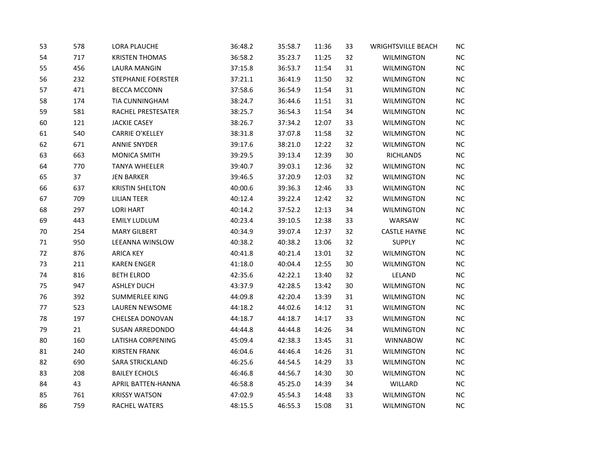| 53 | 578 | LORA PLAUCHE           | 36:48.2 | 35:58.7 | 11:36 | 33 | <b>WRIGHTSVILLE BEACH</b> | <b>NC</b> |
|----|-----|------------------------|---------|---------|-------|----|---------------------------|-----------|
| 54 | 717 | <b>KRISTEN THOMAS</b>  | 36:58.2 | 35:23.7 | 11:25 | 32 | <b>WILMINGTON</b>         | NC        |
| 55 | 456 | LAURA MANGIN           | 37:15.8 | 36:53.7 | 11:54 | 31 | <b>WILMINGTON</b>         | $NC$      |
| 56 | 232 | STEPHANIE FOERSTER     | 37:21.1 | 36:41.9 | 11:50 | 32 | <b>WILMINGTON</b>         | $NC$      |
| 57 | 471 | <b>BECCA MCCONN</b>    | 37:58.6 | 36:54.9 | 11:54 | 31 | <b>WILMINGTON</b>         | NC        |
| 58 | 174 | TIA CUNNINGHAM         | 38:24.7 | 36:44.6 | 11:51 | 31 | <b>WILMINGTON</b>         | $NC$      |
| 59 | 581 | RACHEL PRESTESATER     | 38:25.7 | 36:54.3 | 11:54 | 34 | <b>WILMINGTON</b>         | NC        |
| 60 | 121 | <b>JACKIE CASEY</b>    | 38:26.7 | 37:34.2 | 12:07 | 33 | WILMINGTON                | $NC$      |
| 61 | 540 | <b>CARRIE O'KELLEY</b> | 38:31.8 | 37:07.8 | 11:58 | 32 | <b>WILMINGTON</b>         | $NC$      |
| 62 | 671 | <b>ANNIE SNYDER</b>    | 39:17.6 | 38:21.0 | 12:22 | 32 | <b>WILMINGTON</b>         | $NC$      |
| 63 | 663 | <b>MONICA SMITH</b>    | 39:29.5 | 39:13.4 | 12:39 | 30 | <b>RICHLANDS</b>          | $NC$      |
| 64 | 770 | <b>TANYA WHEELER</b>   | 39:40.7 | 39:03.1 | 12:36 | 32 | <b>WILMINGTON</b>         | $NC$      |
| 65 | 37  | <b>JEN BARKER</b>      | 39:46.5 | 37:20.9 | 12:03 | 32 | <b>WILMINGTON</b>         | NC        |
| 66 | 637 | <b>KRISTIN SHELTON</b> | 40:00.6 | 39:36.3 | 12:46 | 33 | <b>WILMINGTON</b>         | $NC$      |
| 67 | 709 | <b>LILIAN TEER</b>     | 40:12.4 | 39:22.4 | 12:42 | 32 | <b>WILMINGTON</b>         | $NC$      |
| 68 | 297 | <b>LORI HART</b>       | 40:14.2 | 37:52.2 | 12:13 | 34 | WILMINGTON                | NC        |
| 69 | 443 | <b>EMILY LUDLUM</b>    | 40:23.4 | 39:10.5 | 12:38 | 33 | WARSAW                    | $NC$      |
| 70 | 254 | <b>MARY GILBERT</b>    | 40:34.9 | 39:07.4 | 12:37 | 32 | <b>CASTLE HAYNE</b>       | NC        |
| 71 | 950 | LEEANNA WINSLOW        | 40:38.2 | 40:38.2 | 13:06 | 32 | <b>SUPPLY</b>             | $NC$      |
| 72 | 876 | <b>ARICA KEY</b>       | 40:41.8 | 40:21.4 | 13:01 | 32 | <b>WILMINGTON</b>         | $NC$      |
| 73 | 211 | <b>KAREN ENGER</b>     | 41:18.0 | 40:04.4 | 12:55 | 30 | <b>WILMINGTON</b>         | NC        |
| 74 | 816 | <b>BETH ELROD</b>      | 42:35.6 | 42:22.1 | 13:40 | 32 | LELAND                    | $NC$      |
| 75 | 947 | <b>ASHLEY DUCH</b>     | 43:37.9 | 42:28.5 | 13:42 | 30 | <b>WILMINGTON</b>         | $NC$      |
| 76 | 392 | SUMMERLEE KING         | 44:09.8 | 42:20.4 | 13:39 | 31 | <b>WILMINGTON</b>         | $NC$      |
| 77 | 523 | LAUREN NEWSOME         | 44:18.2 | 44:02.6 | 14:12 | 31 | WILMINGTON                | $NC$      |
| 78 | 197 | CHELSEA DONOVAN        | 44:18.7 | 44:18.7 | 14:17 | 33 | <b>WILMINGTON</b>         | NC        |
| 79 | 21  | <b>SUSAN ARREDONDO</b> | 44:44.8 | 44:44.8 | 14:26 | 34 | <b>WILMINGTON</b>         | NC        |
| 80 | 160 | LATISHA CORPENING      | 45:09.4 | 42:38.3 | 13:45 | 31 | <b>WINNABOW</b>           | $NC$      |
| 81 | 240 | <b>KIRSTEN FRANK</b>   | 46:04.6 | 44:46.4 | 14:26 | 31 | <b>WILMINGTON</b>         | $NC$      |
| 82 | 690 | <b>SARA STRICKLAND</b> | 46:25.6 | 44:54.5 | 14:29 | 33 | WILMINGTON                | NC        |
| 83 | 208 | <b>BAILEY ECHOLS</b>   | 46:46.8 | 44:56.7 | 14:30 | 30 | <b>WILMINGTON</b>         | $NC$      |
| 84 | 43  | APRIL BATTEN-HANNA     | 46:58.8 | 45:25.0 | 14:39 | 34 | WILLARD                   | $NC$      |
| 85 | 761 | <b>KRISSY WATSON</b>   | 47:02.9 | 45:54.3 | 14:48 | 33 | <b>WILMINGTON</b>         | $NC$      |
| 86 | 759 | <b>RACHEL WATERS</b>   | 48:15.5 | 46:55.3 | 15:08 | 31 | <b>WILMINGTON</b>         | NC        |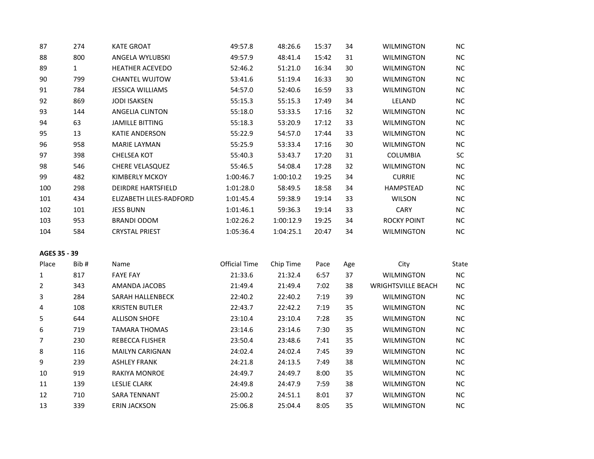| 87             | 274          | <b>KATE GROAT</b>         | 49:57.8              | 48:26.6   | 15:37 | 34  | <b>WILMINGTON</b>         | <b>NC</b> |
|----------------|--------------|---------------------------|----------------------|-----------|-------|-----|---------------------------|-----------|
| 88             | 800          | ANGELA WYLUBSKI           | 49:57.9              | 48:41.4   | 15:42 | 31  | <b>WILMINGTON</b>         | NC        |
| 89             | $\mathbf{1}$ | <b>HEATHER ACEVEDO</b>    | 52:46.2              | 51:21.0   | 16:34 | 30  | <b>WILMINGTON</b>         | NC        |
| 90             | 799          | <b>CHANTEL WUJTOW</b>     | 53:41.6              | 51:19.4   | 16:33 | 30  | <b>WILMINGTON</b>         | NC.       |
| 91             | 784          | <b>JESSICA WILLIAMS</b>   | 54:57.0              | 52:40.6   | 16:59 | 33  | <b>WILMINGTON</b>         | <b>NC</b> |
| 92             | 869          | <b>JODI ISAKSEN</b>       | 55:15.3              | 55:15.3   | 17:49 | 34  | LELAND                    | NC        |
| 93             | 144          | <b>ANGELIA CLINTON</b>    | 55:18.0              | 53:33.5   | 17:16 | 32  | <b>WILMINGTON</b>         | NC        |
| 94             | 63           | <b>JAMILLE BITTING</b>    | 55:18.3              | 53:20.9   | 17:12 | 33  | <b>WILMINGTON</b>         | NC        |
| 95             | 13           | <b>KATIE ANDERSON</b>     | 55:22.9              | 54:57.0   | 17:44 | 33  | <b>WILMINGTON</b>         | <b>NC</b> |
| 96             | 958          | <b>MARIE LAYMAN</b>       | 55:25.9              | 53:33.4   | 17:16 | 30  | <b>WILMINGTON</b>         | <b>NC</b> |
| 97             | 398          | <b>CHELSEA KOT</b>        | 55:40.3              | 53:43.7   | 17:20 | 31  | COLUMBIA                  | SC        |
| 98             | 546          | CHERE VELASQUEZ           | 55:46.5              | 54:08.4   | 17:28 | 32  | <b>WILMINGTON</b>         | NC        |
| 99             | 482          | <b>KIMBERLY MCKOY</b>     | 1:00:46.7            | 1:00:10.2 | 19:25 | 34  | <b>CURRIE</b>             | <b>NC</b> |
| 100            | 298          | <b>DEIRDRE HARTSFIELD</b> | 1:01:28.0            | 58:49.5   | 18:58 | 34  | <b>HAMPSTEAD</b>          | NC        |
| 101            | 434          | ELIZABETH LILES-RADFORD   | 1:01:45.4            | 59:38.9   | 19:14 | 33  | <b>WILSON</b>             | <b>NC</b> |
| 102            | 101          | <b>JESS BUNN</b>          | 1:01:46.1            | 59:36.3   | 19:14 | 33  | <b>CARY</b>               | NC        |
| 103            | 953          | <b>BRANDI ODOM</b>        | 1:02:26.2            | 1:00:12.9 | 19:25 | 34  | <b>ROCKY POINT</b>        | <b>NC</b> |
| 104            | 584          | <b>CRYSTAL PRIEST</b>     | 1:05:36.4            | 1:04:25.1 | 20:47 | 34  | <b>WILMINGTON</b>         | NC.       |
| AGES 35 - 39   |              |                           |                      |           |       |     |                           |           |
| Place          | Bib#         | Name                      | <b>Official Time</b> | Chip Time | Pace  | Age | City                      | State     |
| $\mathbf{1}$   | 817          | <b>FAYE FAY</b>           | 21:33.6              | 21:32.4   | 6:57  | 37  | <b>WILMINGTON</b>         | <b>NC</b> |
| $\overline{2}$ | 343          | AMANDA JACOBS             | 21:49.4              | 21:49.4   | 7:02  | 38  | <b>WRIGHTSVILLE BEACH</b> | <b>NC</b> |
| 3              | 284          | SARAH HALLENBECK          | 22:40.2              | 22:40.2   | 7:19  | 39  | <b>WILMINGTON</b>         | NC        |
| 4              | 108          | <b>KRISTEN BUTLER</b>     | 22:43.7              | 22:42.2   | 7:19  | 35  | <b>WILMINGTON</b>         | <b>NC</b> |
| 5              | 644          | <b>ALLISON SHOFE</b>      | 23:10.4              | 23:10.4   | 7:28  | 35  | <b>WILMINGTON</b>         | <b>NC</b> |
| 6              | 719          | <b>TAMARA THOMAS</b>      | 23:14.6              | 23:14.6   | 7:30  | 35  | <b>WILMINGTON</b>         | NC        |
| $\overline{7}$ | 230          | REBECCA FLISHER           | 23:50.4              | 23:48.6   | 7:41  | 35  | <b>WILMINGTON</b>         | <b>NC</b> |
| 8              | 116          | <b>MAILYN CARIGNAN</b>    | 24:02.4              | 24:02.4   | 7:45  | 39  | <b>WILMINGTON</b>         | NC        |
| 9              | 239          | <b>ASHLEY FRANK</b>       | 24:21.8              | 24:13.5   | 7:49  | 38  | <b>WILMINGTON</b>         | NC        |
| 10             | 919          | RAKIYA MONROE             | 24:49.7              | 24:49.7   | 8:00  | 35  | <b>WILMINGTON</b>         | <b>NC</b> |
| 11             | 139          | <b>LESLIE CLARK</b>       | 24:49.8              | 24:47.9   | 7:59  | 38  | <b>WILMINGTON</b>         | <b>NC</b> |
| 12             | 710          | <b>SARA TENNANT</b>       | 25:00.2              | 24:51.1   | 8:01  | 37  | <b>WILMINGTON</b>         | <b>NC</b> |

339 ERIN JACKSON 25:06.8 25:04.4 8:05 35 WILMINGTON NC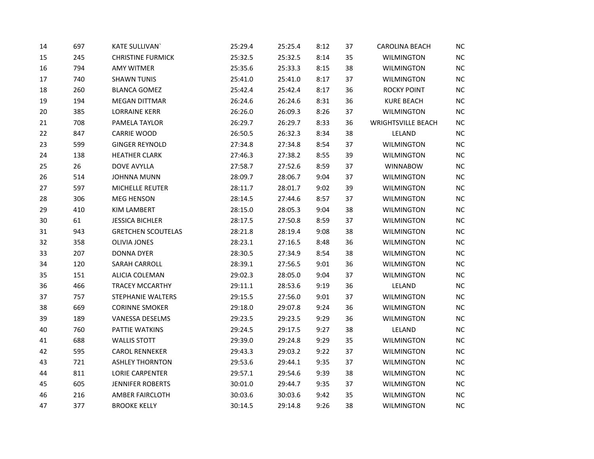| 14 | 697 | <b>KATE SULLIVAN</b>      | 25:29.4 | 25:25.4 | 8:12 | 37 | <b>CAROLINA BEACH</b>     | <b>NC</b> |
|----|-----|---------------------------|---------|---------|------|----|---------------------------|-----------|
| 15 | 245 | <b>CHRISTINE FURMICK</b>  | 25:32.5 | 25:32.5 | 8:14 | 35 | <b>WILMINGTON</b>         | NC        |
| 16 | 794 | <b>AMY WITMER</b>         | 25:35.6 | 25:33.3 | 8:15 | 38 | <b>WILMINGTON</b>         | NC        |
| 17 | 740 | <b>SHAWN TUNIS</b>        | 25:41.0 | 25:41.0 | 8:17 | 37 | <b>WILMINGTON</b>         | NC        |
| 18 | 260 | <b>BLANCA GOMEZ</b>       | 25:42.4 | 25:42.4 | 8:17 | 36 | <b>ROCKY POINT</b>        | NC        |
| 19 | 194 | <b>MEGAN DITTMAR</b>      | 26:24.6 | 26:24.6 | 8:31 | 36 | <b>KURE BEACH</b>         | NC        |
| 20 | 385 | <b>LORRAINE KERR</b>      | 26:26.0 | 26:09.3 | 8:26 | 37 | <b>WILMINGTON</b>         | NC        |
| 21 | 708 | PAMELA TAYLOR             | 26:29.7 | 26:29.7 | 8:33 | 36 | <b>WRIGHTSVILLE BEACH</b> | NC        |
| 22 | 847 | <b>CARRIE WOOD</b>        | 26:50.5 | 26:32.3 | 8:34 | 38 | LELAND                    | NC        |
| 23 | 599 | <b>GINGER REYNOLD</b>     | 27:34.8 | 27:34.8 | 8:54 | 37 | <b>WILMINGTON</b>         | NC        |
| 24 | 138 | <b>HEATHER CLARK</b>      | 27:46.3 | 27:38.2 | 8:55 | 39 | <b>WILMINGTON</b>         | NC        |
| 25 | 26  | DOVE AVYLLA               | 27:58.7 | 27:52.6 | 8:59 | 37 | <b>WINNABOW</b>           | NC        |
| 26 | 514 | <b>JOHNNA MUNN</b>        | 28:09.7 | 28:06.7 | 9:04 | 37 | <b>WILMINGTON</b>         | NC.       |
| 27 | 597 | MICHELLE REUTER           | 28:11.7 | 28:01.7 | 9:02 | 39 | <b>WILMINGTON</b>         | NC        |
| 28 | 306 | <b>MEG HENSON</b>         | 28:14.5 | 27:44.6 | 8:57 | 37 | <b>WILMINGTON</b>         | NC        |
| 29 | 410 | <b>KIM LAMBERT</b>        | 28:15.0 | 28:05.3 | 9:04 | 38 | <b>WILMINGTON</b>         | NC        |
| 30 | 61  | <b>JESSICA BICHLER</b>    | 28:17.5 | 27:50.8 | 8:59 | 37 | <b>WILMINGTON</b>         | NC        |
| 31 | 943 | <b>GRETCHEN SCOUTELAS</b> | 28:21.8 | 28:19.4 | 9:08 | 38 | <b>WILMINGTON</b>         | NC        |
| 32 | 358 | <b>OLIVIA JONES</b>       | 28:23.1 | 27:16.5 | 8:48 | 36 | <b>WILMINGTON</b>         | NC        |
| 33 | 207 | <b>DONNA DYER</b>         | 28:30.5 | 27:34.9 | 8:54 | 38 | <b>WILMINGTON</b>         | <b>NC</b> |
| 34 | 120 | SARAH CARROLL             | 28:39.1 | 27:56.5 | 9:01 | 36 | <b>WILMINGTON</b>         | NC        |
| 35 | 151 | ALICIA COLEMAN            | 29:02.3 | 28:05.0 | 9:04 | 37 | <b>WILMINGTON</b>         | NC        |
| 36 | 466 | TRACEY MCCARTHY           | 29:11.1 | 28:53.6 | 9:19 | 36 | LELAND                    | NC        |
| 37 | 757 | STEPHANIE WALTERS         | 29:15.5 | 27:56.0 | 9:01 | 37 | <b>WILMINGTON</b>         | NC        |
| 38 | 669 | <b>CORINNE SMOKER</b>     | 29:18.0 | 29:07.8 | 9:24 | 36 | <b>WILMINGTON</b>         | NC        |
| 39 | 189 | VANESSA DESELMS           | 29:23.5 | 29:23.5 | 9:29 | 36 | <b>WILMINGTON</b>         | NC        |
| 40 | 760 | PATTIE WATKINS            | 29:24.5 | 29:17.5 | 9:27 | 38 | LELAND                    | NC.       |
| 41 | 688 | <b>WALLIS STOTT</b>       | 29:39.0 | 29:24.8 | 9:29 | 35 | <b>WILMINGTON</b>         | NC        |
| 42 | 595 | <b>CAROL RENNEKER</b>     | 29:43.3 | 29:03.2 | 9:22 | 37 | WILMINGTON                | NC        |
| 43 | 721 | <b>ASHLEY THORNTON</b>    | 29:53.6 | 29:44.1 | 9:35 | 37 | <b>WILMINGTON</b>         | NC        |
| 44 | 811 | <b>LORIE CARPENTER</b>    | 29:57.1 | 29:54.6 | 9:39 | 38 | <b>WILMINGTON</b>         | NC        |
| 45 | 605 | <b>JENNIFER ROBERTS</b>   | 30:01.0 | 29:44.7 | 9:35 | 37 | <b>WILMINGTON</b>         | NC        |
| 46 | 216 | AMBER FAIRCLOTH           | 30:03.6 | 30:03.6 | 9:42 | 35 | <b>WILMINGTON</b>         | <b>NC</b> |
| 47 | 377 | <b>BROOKE KELLY</b>       | 30:14.5 | 29:14.8 | 9:26 | 38 | <b>WILMINGTON</b>         | NC        |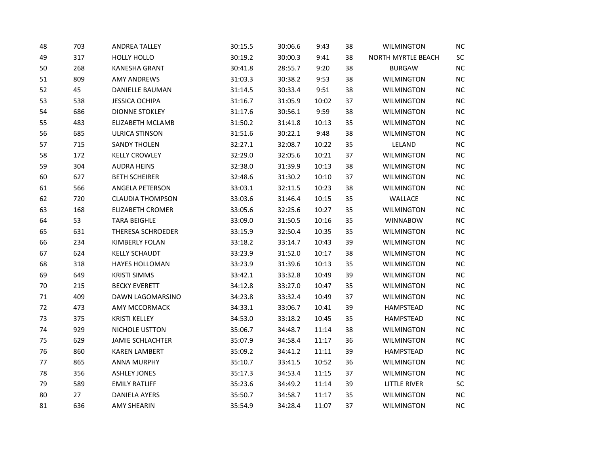| 48 | 703 | <b>ANDREA TALLEY</b>    | 30:15.5 | 30:06.6 | 9:43  | 38 | <b>WILMINGTON</b>   | NC |
|----|-----|-------------------------|---------|---------|-------|----|---------------------|----|
| 49 | 317 | <b>HOLLY HOLLO</b>      | 30:19.2 | 30:00.3 | 9:41  | 38 | NORTH MYRTLE BEACH  | SC |
| 50 | 268 | <b>KANESHA GRANT</b>    | 30:41.8 | 28:55.7 | 9:20  | 38 | <b>BURGAW</b>       | NC |
| 51 | 809 | <b>AMY ANDREWS</b>      | 31:03.3 | 30:38.2 | 9:53  | 38 | <b>WILMINGTON</b>   | NC |
| 52 | 45  | DANIELLE BAUMAN         | 31:14.5 | 30:33.4 | 9:51  | 38 | <b>WILMINGTON</b>   | NC |
| 53 | 538 | <b>JESSICA OCHIPA</b>   | 31:16.7 | 31:05.9 | 10:02 | 37 | <b>WILMINGTON</b>   | NC |
| 54 | 686 | <b>DIONNE STOKLEY</b>   | 31:17.6 | 30:56.1 | 9:59  | 38 | <b>WILMINGTON</b>   | NC |
| 55 | 483 | <b>ELIZABETH MCLAMB</b> | 31:50.2 | 31:41.8 | 10:13 | 35 | <b>WILMINGTON</b>   | NC |
| 56 | 685 | <b>ULRICA STINSON</b>   | 31:51.6 | 30:22.1 | 9:48  | 38 | <b>WILMINGTON</b>   | NC |
| 57 | 715 | <b>SANDY THOLEN</b>     | 32:27.1 | 32:08.7 | 10:22 | 35 | LELAND              | NC |
| 58 | 172 | <b>KELLY CROWLEY</b>    | 32:29.0 | 32:05.6 | 10:21 | 37 | <b>WILMINGTON</b>   | NC |
| 59 | 304 | <b>AUDRA HEINS</b>      | 32:38.0 | 31:39.9 | 10:13 | 38 | <b>WILMINGTON</b>   | NC |
| 60 | 627 | <b>BETH SCHEIRER</b>    | 32:48.6 | 31:30.2 | 10:10 | 37 | <b>WILMINGTON</b>   | NC |
| 61 | 566 | ANGELA PETERSON         | 33:03.1 | 32:11.5 | 10:23 | 38 | <b>WILMINGTON</b>   | NC |
| 62 | 720 | <b>CLAUDIA THOMPSON</b> | 33:03.6 | 31:46.4 | 10:15 | 35 | WALLACE             | NC |
| 63 | 168 | ELIZABETH CROMER        | 33:05.6 | 32:25.6 | 10:27 | 35 | <b>WILMINGTON</b>   | NC |
| 64 | 53  | <b>TARA BEIGHLE</b>     | 33:09.0 | 31:50.5 | 10:16 | 35 | <b>WINNABOW</b>     | NC |
| 65 | 631 | THERESA SCHROEDER       | 33:15.9 | 32:50.4 | 10:35 | 35 | <b>WILMINGTON</b>   | NC |
| 66 | 234 | KIMBERLY FOLAN          | 33:18.2 | 33:14.7 | 10:43 | 39 | <b>WILMINGTON</b>   | NC |
| 67 | 624 | <b>KELLY SCHAUDT</b>    | 33:23.9 | 31:52.0 | 10:17 | 38 | <b>WILMINGTON</b>   | NC |
| 68 | 318 | <b>HAYES HOLLOMAN</b>   | 33:23.9 | 31:39.6 | 10:13 | 35 | WILMINGTON          | NC |
| 69 | 649 | <b>KRISTI SIMMS</b>     | 33:42.1 | 33:32.8 | 10:49 | 39 | <b>WILMINGTON</b>   | NC |
| 70 | 215 | <b>BECKY EVERETT</b>    | 34:12.8 | 33:27.0 | 10:47 | 35 | <b>WILMINGTON</b>   | NC |
| 71 | 409 | DAWN LAGOMARSINO        | 34:23.8 | 33:32.4 | 10:49 | 37 | <b>WILMINGTON</b>   | NC |
| 72 | 473 | AMY MCCORMACK           | 34:33.1 | 33:06.7 | 10:41 | 39 | HAMPSTEAD           | NC |
| 73 | 375 | <b>KRISTI KELLEY</b>    | 34:53.0 | 33:18.2 | 10:45 | 35 | <b>HAMPSTEAD</b>    | NC |
| 74 | 929 | NICHOLE USTTON          | 35:06.7 | 34:48.7 | 11:14 | 38 | <b>WILMINGTON</b>   | NC |
| 75 | 629 | <b>JAMIE SCHLACHTER</b> | 35:07.9 | 34:58.4 | 11:17 | 36 | <b>WILMINGTON</b>   | NC |
| 76 | 860 | <b>KAREN LAMBERT</b>    | 35:09.2 | 34:41.2 | 11:11 | 39 | <b>HAMPSTEAD</b>    | NC |
| 77 | 865 | <b>ANNA MURPHY</b>      | 35:10.7 | 33:41.5 | 10:52 | 36 | <b>WILMINGTON</b>   | NC |
| 78 | 356 | <b>ASHLEY JONES</b>     | 35:17.3 | 34:53.4 | 11:15 | 37 | <b>WILMINGTON</b>   | NC |
| 79 | 589 | <b>EMILY RATLIFF</b>    | 35:23.6 | 34:49.2 | 11:14 | 39 | <b>LITTLE RIVER</b> | SC |
| 80 | 27  | <b>DANIELA AYERS</b>    | 35:50.7 | 34:58.7 | 11:17 | 35 | <b>WILMINGTON</b>   | NC |
| 81 | 636 | <b>AMY SHEARIN</b>      | 35:54.9 | 34:28.4 | 11:07 | 37 | <b>WILMINGTON</b>   | NC |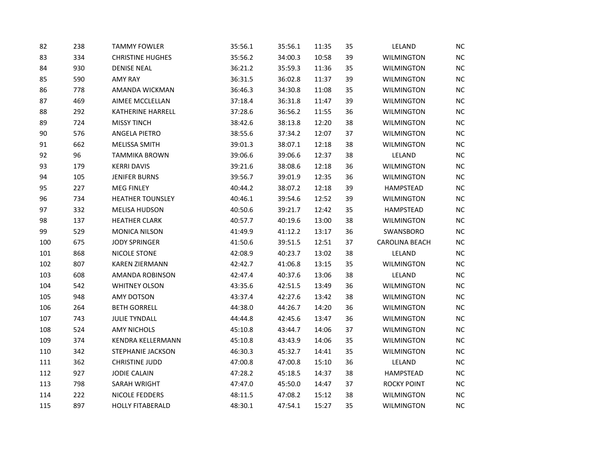| 82  | 238 | <b>TAMMY FOWLER</b>      | 35:56.1 | 35:56.1 | 11:35 | 35 | LELAND                | <b>NC</b> |
|-----|-----|--------------------------|---------|---------|-------|----|-----------------------|-----------|
| 83  | 334 | <b>CHRISTINE HUGHES</b>  | 35:56.2 | 34:00.3 | 10:58 | 39 | <b>WILMINGTON</b>     | <b>NC</b> |
| 84  | 930 | <b>DENISE NEAL</b>       | 36:21.2 | 35:59.3 | 11:36 | 35 | <b>WILMINGTON</b>     | NC        |
| 85  | 590 | <b>AMY RAY</b>           | 36:31.5 | 36:02.8 | 11:37 | 39 | <b>WILMINGTON</b>     | NC        |
| 86  | 778 | AMANDA WICKMAN           | 36:46.3 | 34:30.8 | 11:08 | 35 | <b>WILMINGTON</b>     | <b>NC</b> |
| 87  | 469 | AIMEE MCCLELLAN          | 37:18.4 | 36:31.8 | 11:47 | 39 | <b>WILMINGTON</b>     | NC        |
| 88  | 292 | KATHERINE HARRELL        | 37:28.6 | 36:56.2 | 11:55 | 36 | WILMINGTON            | NC        |
| 89  | 724 | <b>MISSY TINCH</b>       | 38:42.6 | 38:13.8 | 12:20 | 38 | WILMINGTON            | NC        |
| 90  | 576 | ANGELA PIETRO            | 38:55.6 | 37:34.2 | 12:07 | 37 | <b>WILMINGTON</b>     | NC        |
| 91  | 662 | MELISSA SMITH            | 39:01.3 | 38:07.1 | 12:18 | 38 | <b>WILMINGTON</b>     | NC        |
| 92  | 96  | <b>TAMMIKA BROWN</b>     | 39:06.6 | 39:06.6 | 12:37 | 38 | LELAND                | <b>NC</b> |
| 93  | 179 | <b>KERRI DAVIS</b>       | 39:21.6 | 38:08.6 | 12:18 | 36 | <b>WILMINGTON</b>     | NC        |
| 94  | 105 | <b>JENIFER BURNS</b>     | 39:56.7 | 39:01.9 | 12:35 | 36 | <b>WILMINGTON</b>     | <b>NC</b> |
| 95  | 227 | <b>MEG FINLEY</b>        | 40:44.2 | 38:07.2 | 12:18 | 39 | HAMPSTEAD             | NC        |
| 96  | 734 | <b>HEATHER TOUNSLEY</b>  | 40:46.1 | 39:54.6 | 12:52 | 39 | <b>WILMINGTON</b>     | NC        |
| 97  | 332 | <b>MELISA HUDSON</b>     | 40:50.6 | 39:21.7 | 12:42 | 35 | HAMPSTEAD             | <b>NC</b> |
| 98  | 137 | <b>HEATHER CLARK</b>     | 40:57.7 | 40:19.6 | 13:00 | 38 | <b>WILMINGTON</b>     | NC        |
| 99  | 529 | <b>MONICA NILSON</b>     | 41:49.9 | 41:12.2 | 13:17 | 36 | SWANSBORO             | NC        |
| 100 | 675 | <b>JODY SPRINGER</b>     | 41:50.6 | 39:51.5 | 12:51 | 37 | <b>CAROLINA BEACH</b> | <b>NC</b> |
| 101 | 868 | <b>NICOLE STONE</b>      | 42:08.9 | 40:23.7 | 13:02 | 38 | LELAND                | NC.       |
| 102 | 807 | <b>KAREN ZIERMANN</b>    | 42:42.7 | 41:06.8 | 13:15 | 35 | <b>WILMINGTON</b>     | NC        |
| 103 | 608 | AMANDA ROBINSON          | 42:47.4 | 40:37.6 | 13:06 | 38 | LELAND                | NC        |
| 104 | 542 | <b>WHITNEY OLSON</b>     | 43:35.6 | 42:51.5 | 13:49 | 36 | <b>WILMINGTON</b>     | NC        |
| 105 | 948 | <b>AMY DOTSON</b>        | 43:37.4 | 42:27.6 | 13:42 | 38 | <b>WILMINGTON</b>     | NC        |
| 106 | 264 | <b>BETH GORRELL</b>      | 44:38.0 | 44:26.7 | 14:20 | 36 | WILMINGTON            | <b>NC</b> |
| 107 | 743 | <b>JULIE TYNDALL</b>     | 44:44.8 | 42:45.6 | 13:47 | 36 | <b>WILMINGTON</b>     | NC        |
| 108 | 524 | <b>AMY NICHOLS</b>       | 45:10.8 | 43:44.7 | 14:06 | 37 | <b>WILMINGTON</b>     | NC        |
| 109 | 374 | KENDRA KELLERMANN        | 45:10.8 | 43:43.9 | 14:06 | 35 | <b>WILMINGTON</b>     | NC        |
| 110 | 342 | <b>STEPHANIE JACKSON</b> | 46:30.3 | 45:32.7 | 14:41 | 35 | <b>WILMINGTON</b>     | NC        |
| 111 | 362 | <b>CHRISTINE JUDD</b>    | 47:00.8 | 47:00.8 | 15:10 | 36 | LELAND                | <b>NC</b> |
| 112 | 927 | <b>JODIE CALAIN</b>      | 47:28.2 | 45:18.5 | 14:37 | 38 | HAMPSTEAD             | NC        |
| 113 | 798 | SARAH WRIGHT             | 47:47.0 | 45:50.0 | 14:47 | 37 | <b>ROCKY POINT</b>    | NC        |
| 114 | 222 | NICOLE FEDDERS           | 48:11.5 | 47:08.2 | 15:12 | 38 | <b>WILMINGTON</b>     | NC        |
| 115 | 897 | <b>HOLLY FITABERALD</b>  | 48:30.1 | 47:54.1 | 15:27 | 35 | <b>WILMINGTON</b>     | NC        |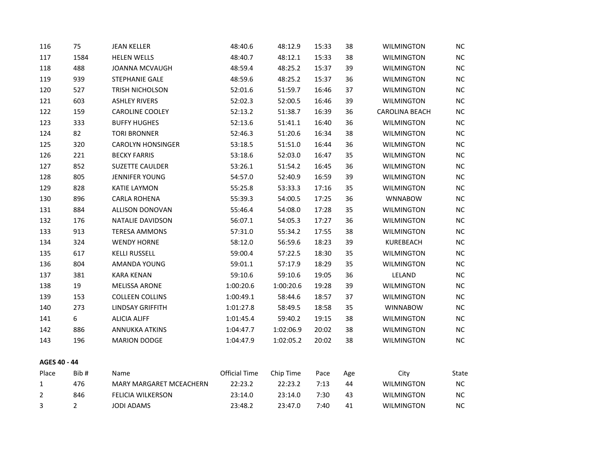| 116          | 75             | <b>JEAN KELLER</b>       | 48:40.6              | 48:12.9   | 15:33 | 38  | <b>WILMINGTON</b>     | <b>NC</b> |
|--------------|----------------|--------------------------|----------------------|-----------|-------|-----|-----------------------|-----------|
| 117          | 1584           | <b>HELEN WELLS</b>       | 48:40.7              | 48:12.1   | 15:33 | 38  | <b>WILMINGTON</b>     | NC        |
| 118          | 488            | <b>JOANNA MCVAUGH</b>    | 48:59.4              | 48:25.2   | 15:37 | 39  | <b>WILMINGTON</b>     | NC        |
| 119          | 939            | STEPHANIE GALE           | 48:59.6              | 48:25.2   | 15:37 | 36  | <b>WILMINGTON</b>     | NC        |
| 120          | 527            | TRISH NICHOLSON          | 52:01.6              | 51:59.7   | 16:46 | 37  | <b>WILMINGTON</b>     | NC        |
| 121          | 603            | <b>ASHLEY RIVERS</b>     | 52:02.3              | 52:00.5   | 16:46 | 39  | <b>WILMINGTON</b>     | NC        |
| 122          | 159            | CAROLINE COOLEY          | 52:13.2              | 51:38.7   | 16:39 | 36  | <b>CAROLINA BEACH</b> | NC        |
| 123          | 333            | <b>BUFFY HUGHES</b>      | 52:13.6              | 51:41.1   | 16:40 | 36  | <b>WILMINGTON</b>     | NC        |
| 124          | 82             | <b>TORI BRONNER</b>      | 52:46.3              | 51:20.6   | 16:34 | 38  | <b>WILMINGTON</b>     | NC        |
| 125          | 320            | <b>CAROLYN HONSINGER</b> | 53:18.5              | 51:51.0   | 16:44 | 36  | <b>WILMINGTON</b>     | NC.       |
| 126          | 221            | <b>BECKY FARRIS</b>      | 53:18.6              | 52:03.0   | 16:47 | 35  | <b>WILMINGTON</b>     | NC        |
| 127          | 852            | SUZETTE CAULDER          | 53:26.1              | 51:54.2   | 16:45 | 36  | WILMINGTON            | NC        |
| 128          | 805            | <b>JENNIFER YOUNG</b>    | 54:57.0              | 52:40.9   | 16:59 | 39  | <b>WILMINGTON</b>     | NC        |
| 129          | 828            | <b>KATIE LAYMON</b>      | 55:25.8              | 53:33.3   | 17:16 | 35  | <b>WILMINGTON</b>     | NC        |
| 130          | 896            | <b>CARLA ROHENA</b>      | 55:39.3              | 54:00.5   | 17:25 | 36  | <b>WNNABOW</b>        | NC        |
| 131          | 884            | ALLISON DONOVAN          | 55:46.4              | 54:08.0   | 17:28 | 35  | WILMINGTON            | NC        |
| 132          | 176            | NATALIE DAVIDSON         | 56:07.1              | 54:05.3   | 17:27 | 36  | <b>WILMINGTON</b>     | NC        |
| 133          | 913            | <b>TERESA AMMONS</b>     | 57:31.0              | 55:34.2   | 17:55 | 38  | <b>WILMINGTON</b>     | NC        |
| 134          | 324            | <b>WENDY HORNE</b>       | 58:12.0              | 56:59.6   | 18:23 | 39  | KUREBEACH             | NC        |
| 135          | 617            | <b>KELLI RUSSELL</b>     | 59:00.4              | 57:22.5   | 18:30 | 35  | <b>WILMINGTON</b>     | NC        |
| 136          | 804            | AMANDA YOUNG             | 59:01.1              | 57:17.9   | 18:29 | 35  | WILMINGTON            | $\sf NC$  |
| 137          | 381            | <b>KARA KENAN</b>        | 59:10.6              | 59:10.6   | 19:05 | 36  | LELAND                | NC        |
| 138          | 19             | <b>MELISSA ARONE</b>     | 1:00:20.6            | 1:00:20.6 | 19:28 | 39  | <b>WILMINGTON</b>     | NC        |
| 139          | 153            | <b>COLLEEN COLLINS</b>   | 1:00:49.1            | 58:44.6   | 18:57 | 37  | <b>WILMINGTON</b>     | NC        |
| 140          | 273            | <b>LINDSAY GRIFFITH</b>  | 1:01:27.8            | 58:49.5   | 18:58 | 35  | <b>WINNABOW</b>       | <b>NC</b> |
| 141          | 6              | <b>ALICIA ALIFF</b>      | 1:01:45.4            | 59:40.2   | 19:15 | 38  | <b>WILMINGTON</b>     | NC        |
| 142          | 886            | ANNUKKA ATKINS           | 1:04:47.7            | 1:02:06.9 | 20:02 | 38  | <b>WILMINGTON</b>     | NC        |
| 143          | 196            | <b>MARION DODGE</b>      | 1:04:47.9            | 1:02:05.2 | 20:02 | 38  | <b>WILMINGTON</b>     | NC        |
| AGES 40 - 44 |                |                          |                      |           |       |     |                       |           |
| Place        | Bib#           | Name                     | <b>Official Time</b> | Chip Time | Pace  | Age | City                  | State     |
| $\mathbf{1}$ | 476            | MARY MARGARET MCEACHERN  | 22:23.2              | 22:23.2   | 7:13  | 44  | <b>WILMINGTON</b>     | NC        |
| 2            | 846            | <b>FELICIA WILKERSON</b> | 23:14.0              | 23:14.0   | 7:30  | 43  | <b>WILMINGTON</b>     | NC        |
| 3            | $\overline{2}$ | JODI ADAMS               | 23:48.2              | 23:47.0   | 7:40  | 41  | <b>WILMINGTON</b>     | NC        |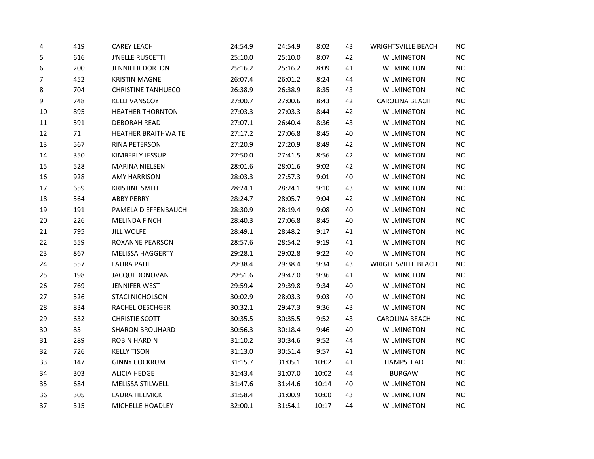| 4  | 419 | <b>CAREY LEACH</b>         | 24:54.9 | 24:54.9 | 8:02  | 43 | <b>WRIGHTSVILLE BEACH</b> | <b>NC</b> |
|----|-----|----------------------------|---------|---------|-------|----|---------------------------|-----------|
| 5  | 616 | <b>J'NELLE RUSCETTI</b>    | 25:10.0 | 25:10.0 | 8:07  | 42 | <b>WILMINGTON</b>         | NC        |
| 6  | 200 | <b>JENNIFER DORTON</b>     | 25:16.2 | 25:16.2 | 8:09  | 41 | <b>WILMINGTON</b>         | $NC$      |
| 7  | 452 | <b>KRISTIN MAGNE</b>       | 26:07.4 | 26:01.2 | 8:24  | 44 | <b>WILMINGTON</b>         | NC        |
| 8  | 704 | <b>CHRISTINE TANHUECO</b>  | 26:38.9 | 26:38.9 | 8:35  | 43 | <b>WILMINGTON</b>         | NC        |
| 9  | 748 | <b>KELLI VANSCOY</b>       | 27:00.7 | 27:00.6 | 8:43  | 42 | <b>CAROLINA BEACH</b>     | NC        |
| 10 | 895 | <b>HEATHER THORNTON</b>    | 27:03.3 | 27:03.3 | 8:44  | 42 | <b>WILMINGTON</b>         | NC        |
| 11 | 591 | <b>DEBORAH READ</b>        | 27:07.1 | 26:40.4 | 8:36  | 43 | <b>WILMINGTON</b>         | $NC$      |
| 12 | 71  | <b>HEATHER BRAITHWAITE</b> | 27:17.2 | 27:06.8 | 8:45  | 40 | <b>WILMINGTON</b>         | $NC$      |
| 13 | 567 | RINA PETERSON              | 27:20.9 | 27:20.9 | 8:49  | 42 | <b>WILMINGTON</b>         | $NC$      |
| 14 | 350 | KIMBERLY JESSUP            | 27:50.0 | 27:41.5 | 8:56  | 42 | <b>WILMINGTON</b>         | $NC$      |
| 15 | 528 | <b>MARINA NIELSEN</b>      | 28:01.6 | 28:01.6 | 9:02  | 42 | <b>WILMINGTON</b>         | $NC$      |
| 16 | 928 | <b>AMY HARRISON</b>        | 28:03.3 | 27:57.3 | 9:01  | 40 | <b>WILMINGTON</b>         | NC        |
| 17 | 659 | <b>KRISTINE SMITH</b>      | 28:24.1 | 28:24.1 | 9:10  | 43 | <b>WILMINGTON</b>         | $NC$      |
| 18 | 564 | <b>ABBY PERRY</b>          | 28:24.7 | 28:05.7 | 9:04  | 42 | <b>WILMINGTON</b>         | NC        |
| 19 | 191 | PAMELA DIEFFENBAUCH        | 28:30.9 | 28:19.4 | 9:08  | 40 | WILMINGTON                | NC        |
| 20 | 226 | MELINDA FINCH              | 28:40.3 | 27:06.8 | 8:45  | 40 | <b>WILMINGTON</b>         | $NC$      |
| 21 | 795 | <b>JILL WOLFE</b>          | 28:49.1 | 28:48.2 | 9:17  | 41 | <b>WILMINGTON</b>         | NC        |
| 22 | 559 | ROXANNE PEARSON            | 28:57.6 | 28:54.2 | 9:19  | 41 | <b>WILMINGTON</b>         | $NC$      |
| 23 | 867 | <b>MELISSA HAGGERTY</b>    | 29:28.1 | 29:02.8 | 9:22  | 40 | <b>WILMINGTON</b>         | $NC$      |
| 24 | 557 | <b>LAURA PAUL</b>          | 29:38.4 | 29:38.4 | 9:34  | 43 | <b>WRIGHTSVILLE BEACH</b> | NC        |
| 25 | 198 | <b>JACQUI DONOVAN</b>      | 29:51.6 | 29:47.0 | 9:36  | 41 | <b>WILMINGTON</b>         | NC        |
| 26 | 769 | <b>JENNIFER WEST</b>       | 29:59.4 | 29:39.8 | 9:34  | 40 | <b>WILMINGTON</b>         | $NC$      |
| 27 | 526 | <b>STACI NICHOLSON</b>     | 30:02.9 | 28:03.3 | 9:03  | 40 | <b>WILMINGTON</b>         | NC        |
| 28 | 834 | RACHEL OESCHGER            | 30:32.1 | 29:47.3 | 9:36  | 43 | <b>WILMINGTON</b>         | $NC$      |
| 29 | 632 | <b>CHRISTIE SCOTT</b>      | 30:35.5 | 30:35.5 | 9:52  | 43 | <b>CAROLINA BEACH</b>     | NC        |
| 30 | 85  | <b>SHARON BROUHARD</b>     | 30:56.3 | 30:18.4 | 9:46  | 40 | <b>WILMINGTON</b>         | NC        |
| 31 | 289 | <b>ROBIN HARDIN</b>        | 31:10.2 | 30:34.6 | 9:52  | 44 | <b>WILMINGTON</b>         | $NC$      |
| 32 | 726 | <b>KELLY TISON</b>         | 31:13.0 | 30:51.4 | 9:57  | 41 | <b>WILMINGTON</b>         | $NC$      |
| 33 | 147 | <b>GINNY COCKRUM</b>       | 31:15.7 | 31:05.1 | 10:02 | 41 | HAMPSTEAD                 | NC        |
| 34 | 303 | <b>ALICIA HEDGE</b>        | 31:43.4 | 31:07.0 | 10:02 | 44 | <b>BURGAW</b>             | $NC$      |
| 35 | 684 | MELISSA STILWELL           | 31:47.6 | 31:44.6 | 10:14 | 40 | <b>WILMINGTON</b>         | NC        |
| 36 | 305 | LAURA HELMICK              | 31:58.4 | 31:00.9 | 10:00 | 43 | <b>WILMINGTON</b>         | $NC$      |
| 37 | 315 | MICHELLE HOADLEY           | 32:00.1 | 31:54.1 | 10:17 | 44 | <b>WILMINGTON</b>         | NC        |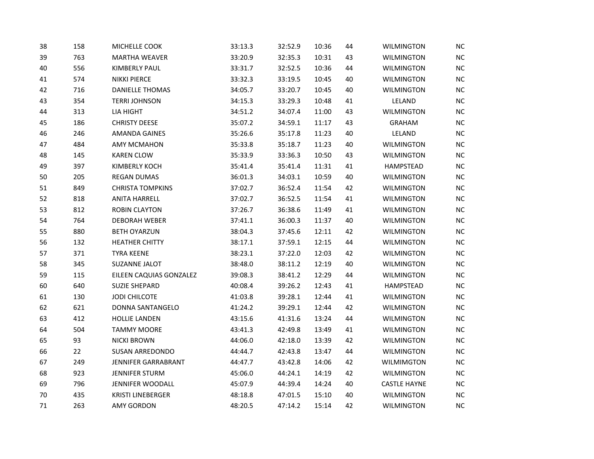| 38 | 158 | MICHELLE COOK            | 33:13.3 | 32:52.9 | 10:36 | 44 | <b>WILMINGTON</b>   | <b>NC</b> |
|----|-----|--------------------------|---------|---------|-------|----|---------------------|-----------|
| 39 | 763 | <b>MARTHA WEAVER</b>     | 33:20.9 | 32:35.3 | 10:31 | 43 | <b>WILMINGTON</b>   | NC        |
| 40 | 556 | KIMBERLY PAUL            | 33:31.7 | 32:52.5 | 10:36 | 44 | <b>WILMINGTON</b>   | NC        |
| 41 | 574 | <b>NIKKI PIERCE</b>      | 33:32.3 | 33:19.5 | 10:45 | 40 | <b>WILMINGTON</b>   | NC        |
| 42 | 716 | <b>DANIELLE THOMAS</b>   | 34:05.7 | 33:20.7 | 10:45 | 40 | <b>WILMINGTON</b>   | NC        |
| 43 | 354 | <b>TERRI JOHNSON</b>     | 34:15.3 | 33:29.3 | 10:48 | 41 | LELAND              | NC        |
| 44 | 313 | LIA HIGHT                | 34:51.2 | 34:07.4 | 11:00 | 43 | <b>WILMINGTON</b>   | NC        |
| 45 | 186 | <b>CHRISTY DEESE</b>     | 35:07.2 | 34:59.1 | 11:17 | 43 | <b>GRAHAM</b>       | NC        |
| 46 | 246 | <b>AMANDA GAINES</b>     | 35:26.6 | 35:17.8 | 11:23 | 40 | LELAND              | NC        |
| 47 | 484 | <b>AMY MCMAHON</b>       | 35:33.8 | 35:18.7 | 11:23 | 40 | <b>WILMINGTON</b>   | <b>NC</b> |
| 48 | 145 | <b>KAREN CLOW</b>        | 35:33.9 | 33:36.3 | 10:50 | 43 | <b>WILMINGTON</b>   | NC        |
| 49 | 397 | <b>KIMBERLY KOCH</b>     | 35:41.4 | 35:41.4 | 11:31 | 41 | HAMPSTEAD           | <b>NC</b> |
| 50 | 205 | <b>REGAN DUMAS</b>       | 36:01.3 | 34:03.1 | 10:59 | 40 | <b>WILMINGTON</b>   | NC        |
| 51 | 849 | <b>CHRISTA TOMPKINS</b>  | 37:02.7 | 36:52.4 | 11:54 | 42 | <b>WILMINGTON</b>   | NC        |
| 52 | 818 | <b>ANITA HARRELL</b>     | 37:02.7 | 36:52.5 | 11:54 | 41 | WILMINGTON          | <b>NC</b> |
| 53 | 812 | <b>ROBIN CLAYTON</b>     | 37:26.7 | 36:38.6 | 11:49 | 41 | WILMINGTON          | NC        |
| 54 | 764 | <b>DEBORAH WEBER</b>     | 37:41.1 | 36:00.3 | 11:37 | 40 | <b>WILMINGTON</b>   | NC.       |
| 55 | 880 | <b>BETH OYARZUN</b>      | 38:04.3 | 37:45.6 | 12:11 | 42 | <b>WILMINGTON</b>   | NC        |
| 56 | 132 | <b>HEATHER CHITTY</b>    | 38:17.1 | 37:59.1 | 12:15 | 44 | <b>WILMINGTON</b>   | NC        |
| 57 | 371 | <b>TYRA KEENE</b>        | 38:23.1 | 37:22.0 | 12:03 | 42 | WILMINGTON          | <b>NC</b> |
| 58 | 345 | <b>SUZANNE JALOT</b>     | 38:48.0 | 38:11.2 | 12:19 | 40 | <b>WILMINGTON</b>   | NC        |
| 59 | 115 | EILEEN CAQUIAS GONZALEZ  | 39:08.3 | 38:41.2 | 12:29 | 44 | <b>WILMINGTON</b>   | NC        |
| 60 | 640 | <b>SUZIE SHEPARD</b>     | 40:08.4 | 39:26.2 | 12:43 | 41 | HAMPSTEAD           | NC        |
| 61 | 130 | <b>JODI CHILCOTE</b>     | 41:03.8 | 39:28.1 | 12:44 | 41 | <b>WILMINGTON</b>   | NC        |
| 62 | 621 | DONNA SANTANGELO         | 41:24.2 | 39:29.1 | 12:44 | 42 | WILMINGTON          | <b>NC</b> |
| 63 | 412 | <b>HOLLIE LANDEN</b>     | 43:15.6 | 41:31.6 | 13:24 | 44 | <b>WILMINGTON</b>   | NC        |
| 64 | 504 | <b>TAMMY MOORE</b>       | 43:41.3 | 42:49.8 | 13:49 | 41 | <b>WILMINGTON</b>   | NC        |
| 65 | 93  | <b>NICKI BROWN</b>       | 44:06.0 | 42:18.0 | 13:39 | 42 | <b>WILMINGTON</b>   | <b>NC</b> |
| 66 | 22  | <b>SUSAN ARREDONDO</b>   | 44:44.7 | 42:43.8 | 13:47 | 44 | <b>WILMINGTON</b>   | NC        |
| 67 | 249 | JENNIFER GARRABRANT      | 44:47.7 | 43:42.8 | 14:06 | 42 | WILMIMGTON          | <b>NC</b> |
| 68 | 923 | <b>JENNIFER STURM</b>    | 45:06.0 | 44:24.1 | 14:19 | 42 | <b>WILMINGTON</b>   | NC        |
| 69 | 796 | JENNIFER WOODALL         | 45:07.9 | 44:39.4 | 14:24 | 40 | <b>CASTLE HAYNE</b> | <b>NC</b> |
| 70 | 435 | <b>KRISTI LINEBERGER</b> | 48:18.8 | 47:01.5 | 15:10 | 40 | <b>WILMINGTON</b>   | <b>NC</b> |
| 71 | 263 | <b>AMY GORDON</b>        | 48:20.5 | 47:14.2 | 15:14 | 42 | <b>WILMINGTON</b>   | NC        |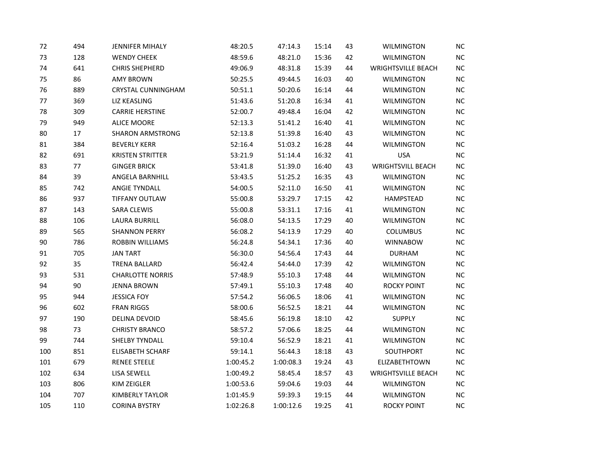| 72  | 494 | <b>JENNIFER MIHALY</b>    | 48:20.5   | 47:14.3   | 15:14 | 43 | <b>WILMINGTON</b>         | <b>NC</b> |
|-----|-----|---------------------------|-----------|-----------|-------|----|---------------------------|-----------|
| 73  | 128 | <b>WENDY CHEEK</b>        | 48:59.6   | 48:21.0   | 15:36 | 42 | <b>WILMINGTON</b>         | NC        |
| 74  | 641 | <b>CHRIS SHEPHERD</b>     | 49:06.9   | 48:31.8   | 15:39 | 44 | <b>WRIGHTSVILLE BEACH</b> | $NC$      |
| 75  | 86  | <b>AMY BROWN</b>          | 50:25.5   | 49:44.5   | 16:03 | 40 | <b>WILMINGTON</b>         | NC        |
| 76  | 889 | <b>CRYSTAL CUNNINGHAM</b> | 50:51.1   | 50:20.6   | 16:14 | 44 | <b>WILMINGTON</b>         | NC        |
| 77  | 369 | LIZ KEASLING              | 51:43.6   | 51:20.8   | 16:34 | 41 | <b>WILMINGTON</b>         | $NC$      |
| 78  | 309 | <b>CARRIE HERSTINE</b>    | 52:00.7   | 49:48.4   | 16:04 | 42 | <b>WILMINGTON</b>         | NC        |
| 79  | 949 | <b>ALICE MOORE</b>        | 52:13.3   | 51:41.2   | 16:40 | 41 | WILMINGTON                | $NC$      |
| 80  | 17  | <b>SHARON ARMSTRONG</b>   | 52:13.8   | 51:39.8   | 16:40 | 43 | <b>WILMINGTON</b>         | $NC$      |
| 81  | 384 | <b>BEVERLY KERR</b>       | 52:16.4   | 51:03.2   | 16:28 | 44 | <b>WILMINGTON</b>         | $NC$      |
| 82  | 691 | <b>KRISTEN STRITTER</b>   | 53:21.9   | 51:14.4   | 16:32 | 41 | <b>USA</b>                | $NC$      |
| 83  | 77  | <b>GINGER BRICK</b>       | 53:41.8   | 51:39.0   | 16:40 | 43 | <b>WRIGHTSVILL BEACH</b>  | NC        |
| 84  | 39  | ANGELA BARNHILL           | 53:43.5   | 51:25.2   | 16:35 | 43 | <b>WILMINGTON</b>         | NC        |
| 85  | 742 | <b>ANGIE TYNDALL</b>      | 54:00.5   | 52:11.0   | 16:50 | 41 | <b>WILMINGTON</b>         | $NC$      |
| 86  | 937 | <b>TIFFANY OUTLAW</b>     | 55:00.8   | 53:29.7   | 17:15 | 42 | HAMPSTEAD                 | $NC$      |
| 87  | 143 | <b>SARA CLEWIS</b>        | 55:00.8   | 53:31.1   | 17:16 | 41 | WILMINGTON                | NC        |
| 88  | 106 | <b>LAURA BURRILL</b>      | 56:08.0   | 54:13.5   | 17:29 | 40 | <b>WILMINGTON</b>         | $NC$      |
| 89  | 565 | <b>SHANNON PERRY</b>      | 56:08.2   | 54:13.9   | 17:29 | 40 | <b>COLUMBUS</b>           | NC        |
| 90  | 786 | ROBBIN WILLIAMS           | 56:24.8   | 54:34.1   | 17:36 | 40 | <b>WINNABOW</b>           | $NC$      |
| 91  | 705 | <b>JAN TART</b>           | 56:30.0   | 54:56.4   | 17:43 | 44 | <b>DURHAM</b>             | $NC$      |
| 92  | 35  | <b>TRENA BALLARD</b>      | 56:42.4   | 54:44.0   | 17:39 | 42 | <b>WILMINGTON</b>         | NC        |
| 93  | 531 | <b>CHARLOTTE NORRIS</b>   | 57:48.9   | 55:10.3   | 17:48 | 44 | <b>WILMINGTON</b>         | $NC$      |
| 94  | 90  | <b>JENNA BROWN</b>        | 57:49.1   | 55:10.3   | 17:48 | 40 | <b>ROCKY POINT</b>        | $NC$      |
| 95  | 944 | <b>JESSICA FOY</b>        | 57:54.2   | 56:06.5   | 18:06 | 41 | <b>WILMINGTON</b>         | NC        |
| 96  | 602 | <b>FRAN RIGGS</b>         | 58:00.6   | 56:52.5   | 18:21 | 44 | <b>WILMINGTON</b>         | $NC$      |
| 97  | 190 | DELINA DEVOID             | 58:45.6   | 56:19.8   | 18:10 | 42 | <b>SUPPLY</b>             | NC        |
| 98  | 73  | <b>CHRISTY BRANCO</b>     | 58:57.2   | 57:06.6   | 18:25 | 44 | <b>WILMINGTON</b>         | NC        |
| 99  | 744 | SHELBY TYNDALL            | 59:10.4   | 56:52.9   | 18:21 | 41 | <b>WILMINGTON</b>         | $NC$      |
| 100 | 851 | <b>ELISABETH SCHARF</b>   | 59:14.1   | 56:44.3   | 18:18 | 43 | SOUTHPORT                 | $NC$      |
| 101 | 679 | <b>RENEE STEELE</b>       | 1:00:45.2 | 1:00:08.3 | 19:24 | 43 | ELIZABETHTOWN             | $NC$      |
| 102 | 634 | LISA SEWELL               | 1:00:49.2 | 58:45.4   | 18:57 | 43 | <b>WRIGHTSVILLE BEACH</b> | $NC$      |
| 103 | 806 | KIM ZEIGLER               | 1:00:53.6 | 59:04.6   | 19:03 | 44 | <b>WILMINGTON</b>         | NC        |
| 104 | 707 | <b>KIMBERLY TAYLOR</b>    | 1:01:45.9 | 59:39.3   | 19:15 | 44 | <b>WILMINGTON</b>         | $NC$      |
| 105 | 110 | <b>CORINA BYSTRY</b>      | 1:02:26.8 | 1:00:12.6 | 19:25 | 41 | <b>ROCKY POINT</b>        | NC        |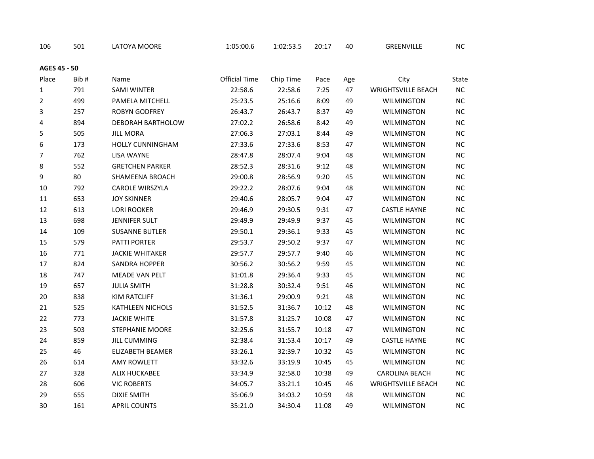| 106            | 501  | LATOYA MOORE            | 1:05:00.6            | 1:02:53.5 | 20:17 | 40  | GREENVILLE                | <b>NC</b> |
|----------------|------|-------------------------|----------------------|-----------|-------|-----|---------------------------|-----------|
| AGES 45 - 50   |      |                         |                      |           |       |     |                           |           |
| Place          | Bib# | Name                    | <b>Official Time</b> | Chip Time | Pace  | Age | City                      | State     |
| $\mathbf{1}$   | 791  | <b>SAMI WINTER</b>      | 22:58.6              | 22:58.6   | 7:25  | 47  | <b>WRIGHTSVILLE BEACH</b> | $NC$      |
| $\overline{2}$ | 499  | PAMELA MITCHELL         | 25:23.5              | 25:16.6   | 8:09  | 49  | <b>WILMINGTON</b>         | <b>NC</b> |
| 3              | 257  | <b>ROBYN GODFREY</b>    | 26:43.7              | 26:43.7   | 8:37  | 49  | <b>WILMINGTON</b>         | $NC$      |
| 4              | 894  | DEBORAH BARTHOLOW       | 27:02.2              | 26:58.6   | 8:42  | 49  | <b>WILMINGTON</b>         | <b>NC</b> |
| 5              | 505  | <b>JILL MORA</b>        | 27:06.3              | 27:03.1   | 8:44  | 49  | <b>WILMINGTON</b>         | NC        |
| 6              | 173  | <b>HOLLY CUNNINGHAM</b> | 27:33.6              | 27:33.6   | 8:53  | 47  | <b>WILMINGTON</b>         | $NC$      |
| $\overline{7}$ | 762  | <b>LISA WAYNE</b>       | 28:47.8              | 28:07.4   | 9:04  | 48  | <b>WILMINGTON</b>         | NC        |
| 8              | 552  | <b>GRETCHEN PARKER</b>  | 28:52.3              | 28:31.6   | 9:12  | 48  | <b>WILMINGTON</b>         | NC        |
| 9              | 80   | SHAMEENA BROACH         | 29:00.8              | 28:56.9   | 9:20  | 45  | <b>WILMINGTON</b>         | $NC$      |
| 10             | 792  | CAROLE WIRSZYLA         | 29:22.2              | 28:07.6   | 9:04  | 48  | <b>WILMINGTON</b>         | $NC$      |
| 11             | 653  | <b>JOY SKINNER</b>      | 29:40.6              | 28:05.7   | 9:04  | 47  | <b>WILMINGTON</b>         | NC        |
| 12             | 613  | <b>LORI ROOKER</b>      | 29:46.9              | 29:30.5   | 9:31  | 47  | <b>CASTLE HAYNE</b>       | NC        |
| 13             | 698  | <b>JENNIFER SULT</b>    | 29:49.9              | 29:49.9   | 9:37  | 45  | <b>WILMINGTON</b>         | NC        |
| 14             | 109  | <b>SUSANNE BUTLER</b>   | 29:50.1              | 29:36.1   | 9:33  | 45  | <b>WILMINGTON</b>         | NC        |
| 15             | 579  | <b>PATTI PORTER</b>     | 29:53.7              | 29:50.2   | 9:37  | 47  | <b>WILMINGTON</b>         | NC        |
| 16             | 771  | <b>JACKIE WHITAKER</b>  | 29:57.7              | 29:57.7   | 9:40  | 46  | <b>WILMINGTON</b>         | NC        |
| 17             | 824  | <b>SANDRA HOPPER</b>    | 30:56.2              | 30:56.2   | 9:59  | 45  | <b>WILMINGTON</b>         | $NC$      |
| 18             | 747  | <b>MEADE VAN PELT</b>   | 31:01.8              | 29:36.4   | 9:33  | 45  | <b>WILMINGTON</b>         | NC        |
| 19             | 657  | <b>JULIA SMITH</b>      | 31:28.8              | 30:32.4   | 9:51  | 46  | <b>WILMINGTON</b>         | $NC$      |
| 20             | 838  | <b>KIM RATCLIFF</b>     | 31:36.1              | 29:00.9   | 9:21  | 48  | <b>WILMINGTON</b>         | $NC$      |
| 21             | 525  | KATHLEEN NICHOLS        | 31:52.5              | 31:36.7   | 10:12 | 48  | <b>WILMINGTON</b>         | NC        |
| 22             | 773  | <b>JACKIE WHITE</b>     | 31:57.8              | 31:25.7   | 10:08 | 47  | <b>WILMINGTON</b>         | NC        |
| 23             | 503  | STEPHANIE MOORE         | 32:25.6              | 31:55.7   | 10:18 | 47  | <b>WILMINGTON</b>         | $NC$      |
| 24             | 859  | <b>JILL CUMMING</b>     | 32:38.4              | 31:53.4   | 10:17 | 49  | <b>CASTLE HAYNE</b>       | NC        |
| 25             | 46   | ELIZABETH BEAMER        | 33:26.1              | 32:39.7   | 10:32 | 45  | <b>WILMINGTON</b>         | NC        |
| 26             | 614  | <b>AMY ROWLETT</b>      | 33:32.6              | 33:19.9   | 10:45 | 45  | <b>WILMINGTON</b>         | <b>NC</b> |
| 27             | 328  | <b>ALIX HUCKABEE</b>    | 33:34.9              | 32:58.0   | 10:38 | 49  | <b>CAROLINA BEACH</b>     | NC        |
| 28             | 606  | <b>VIC ROBERTS</b>      | 34:05.7              | 33:21.1   | 10:45 | 46  | <b>WRIGHTSVILLE BEACH</b> | <b>NC</b> |
| 29             | 655  | <b>DIXIE SMITH</b>      | 35:06.9              | 34:03.2   | 10:59 | 48  | <b>WILMINGTON</b>         | $NC$      |
| 30             | 161  | <b>APRIL COUNTS</b>     | 35:21.0              | 34:30.4   | 11:08 | 49  | <b>WILMINGTON</b>         | NC        |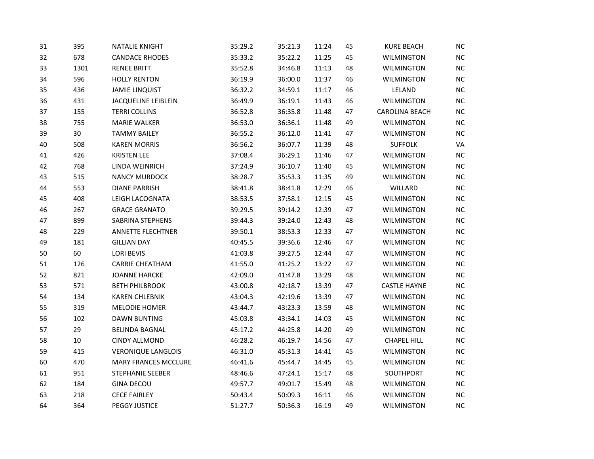| 31 | 395  | <b>NATALIE KNIGHT</b>       | 35:29.2 | 35:21.3 | 11:24 | 45 | <b>KURE BEACH</b>   | <b>NC</b> |
|----|------|-----------------------------|---------|---------|-------|----|---------------------|-----------|
| 32 | 678  | <b>CANDACE RHODES</b>       | 35:33.2 | 35:22.2 | 11:25 | 45 | <b>WILMINGTON</b>   | NC        |
| 33 | 1301 | <b>RENEE BRITT</b>          | 35:52.8 | 34:46.8 | 11:13 | 48 | <b>WILMINGTON</b>   | NC        |
| 34 | 596  | <b>HOLLY RENTON</b>         | 36:19.9 | 36:00.0 | 11:37 | 46 | <b>WILMINGTON</b>   | NC        |
| 35 | 436  | <b>JAMIE LINQUIST</b>       | 36:32.2 | 34:59.1 | 11:17 | 46 | LELAND              | NC        |
| 36 | 431  | <b>JACQUELINE LEIBLEIN</b>  | 36:49.9 | 36:19.1 | 11:43 | 46 | <b>WILMINGTON</b>   | NC        |
| 37 | 155  | <b>TERRI COLLINS</b>        | 36:52.8 | 36:35.8 | 11:48 | 47 | CAROLINA BEACH      | NC        |
| 38 | 755  | <b>MARIE WALKER</b>         | 36:53.0 | 36:36.1 | 11:48 | 49 | <b>WILMINGTON</b>   | NC        |
| 39 | 30   | <b>TAMMY BAILEY</b>         | 36:55.2 | 36:12.0 | 11:41 | 47 | <b>WILMINGTON</b>   | NC        |
| 40 | 508  | <b>KAREN MORRIS</b>         | 36:56.2 | 36:07.7 | 11:39 | 48 | <b>SUFFOLK</b>      | VA        |
| 41 | 426  | <b>KRISTEN LEE</b>          | 37:08.4 | 36:29.1 | 11:46 | 47 | <b>WILMINGTON</b>   | NC        |
| 42 | 768  | LINDA WEINRICH              | 37:24.9 | 36:10.7 | 11:40 | 45 | <b>WILMINGTON</b>   | NC        |
| 43 | 515  | <b>NANCY MURDOCK</b>        | 38:28.7 | 35:53.3 | 11:35 | 49 | <b>WILMINGTON</b>   | NC        |
| 44 | 553  | <b>DIANE PARRISH</b>        | 38:41.8 | 38:41.8 | 12:29 | 46 | WILLARD             | <b>NC</b> |
| 45 | 408  | LEIGH LACOGNATA             | 38:53.5 | 37:58.1 | 12:15 | 45 | <b>WILMINGTON</b>   | <b>NC</b> |
| 46 | 267  | <b>GRACE GRANATO</b>        | 39:29.5 | 39:14.2 | 12:39 | 47 | <b>WILMINGTON</b>   | NC        |
| 47 | 899  | SABRINA STEPHENS            | 39:44.3 | 39:24.0 | 12:43 | 48 | <b>WILMINGTON</b>   | NC.       |
| 48 | 229  | <b>ANNETTE FLECHTNER</b>    | 39:50.1 | 38:53.3 | 12:33 | 47 | <b>WILMINGTON</b>   | NC        |
| 49 | 181  | <b>GILLIAN DAY</b>          | 40:45.5 | 39:36.6 | 12:46 | 47 | <b>WILMINGTON</b>   | NC        |
| 50 | 60   | <b>LORI BEVIS</b>           | 41:03.8 | 39:27.5 | 12:44 | 47 | WILMINGTON          | <b>NC</b> |
| 51 | 126  | <b>CARRIE CHEATHAM</b>      | 41:55.0 | 41:25.2 | 13:22 | 47 | <b>WILMINGTON</b>   | NC        |
| 52 | 821  | <b>JOANNE HARCKE</b>        | 42:09.0 | 41:47.8 | 13:29 | 48 | <b>WILMINGTON</b>   | NC        |
| 53 | 571  | <b>BETH PHILBROOK</b>       | 43:00.8 | 42:18.7 | 13:39 | 47 | <b>CASTLE HAYNE</b> | NC        |
| 54 | 134  | <b>KAREN CHLEBNIK</b>       | 43:04.3 | 42:19.6 | 13:39 | 47 | <b>WILMINGTON</b>   | NC        |
| 55 | 319  | <b>MELODIE HOMER</b>        | 43:44.7 | 43:23.3 | 13:59 | 48 | WILMINGTON          | <b>NC</b> |
| 56 | 102  | <b>DAWN BUNTING</b>         | 45:03.8 | 43:34.1 | 14:03 | 45 | <b>WILMINGTON</b>   | NC        |
| 57 | 29   | <b>BELINDA BAGNAL</b>       | 45:17.2 | 44:25.8 | 14:20 | 49 | <b>WILMINGTON</b>   | NC        |
| 58 | 10   | <b>CINDY ALLMOND</b>        | 46:28.2 | 46:19.7 | 14:56 | 47 | <b>CHAPEL HILL</b>  | $NC$      |
| 59 | 415  | <b>VERONIQUE LANGLOIS</b>   | 46:31.0 | 45:31.3 | 14:41 | 45 | <b>WILMINGTON</b>   | NC        |
| 60 | 470  | <b>MARY FRANCES MCCLURE</b> | 46:41.6 | 45:44.7 | 14:45 | 45 | WILMINGTON          | <b>NC</b> |
| 61 | 951  | STEPHANIE SEEBER            | 48:46.6 | 47:24.1 | 15:17 | 48 | SOUTHPORT           | NC        |
| 62 | 184  | <b>GINA DECOU</b>           | 49:57.7 | 49:01.7 | 15:49 | 48 | <b>WILMINGTON</b>   | NC        |
| 63 | 218  | <b>CECE FAIRLEY</b>         | 50:43.4 | 50:09.3 | 16:11 | 46 | <b>WILMINGTON</b>   | <b>NC</b> |
| 64 | 364  | <b>PEGGY JUSTICE</b>        | 51:27.7 | 50:36.3 | 16:19 | 49 | <b>WILMINGTON</b>   | NC        |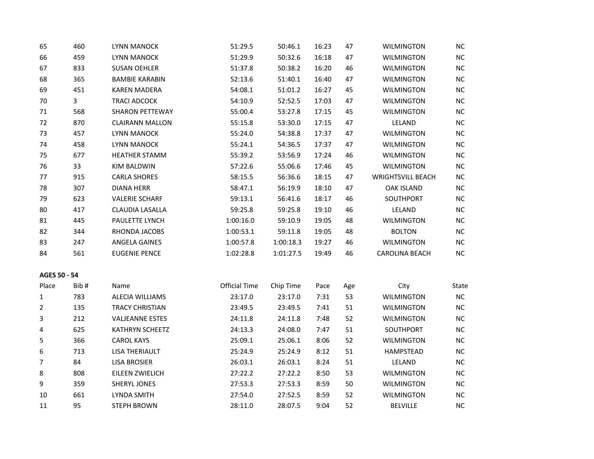| 65             | 460          | LYNN MANOCK            | 51:29.5              | 50:46.1   | 16:23 | 47  | <b>WILMINGTON</b>        | <b>NC</b> |
|----------------|--------------|------------------------|----------------------|-----------|-------|-----|--------------------------|-----------|
| 66             | 459          | <b>LYNN MANOCK</b>     | 51:29.9              | 50:32.6   | 16:18 | 47  | <b>WILMINGTON</b>        | NC        |
| 67             | 833          | <b>SUSAN OEHLER</b>    | 51:37.8              | 50:38.2   | 16:20 | 46  | WILMINGTON               | NC        |
| 68             | 365          | <b>BAMBIE KARABIN</b>  | 52:13.6              | 51:40.1   | 16:40 | 47  | <b>WILMINGTON</b>        | <b>NC</b> |
| 69             | 451          | <b>KAREN MADERA</b>    | 54:08.1              | 51:01.2   | 16:27 | 45  | <b>WILMINGTON</b>        | NC        |
| $70\,$         | $\mathbf{3}$ | <b>TRACI ADCOCK</b>    | 54:10.9              | 52:52.5   | 17:03 | 47  | <b>WILMINGTON</b>        | <b>NC</b> |
| $71\,$         | 568          | <b>SHARON PETTEWAY</b> | 55:00.4              | 53:27.8   | 17:15 | 45  | <b>WILMINGTON</b>        | NC        |
| 72             | 870          | <b>CLAIRANN MALLON</b> | 55:15.8              | 53:30.0   | 17:15 | 47  | LELAND                   | <b>NC</b> |
| 73             | 457          | LYNN MANOCK            | 55:24.0              | 54:38.8   | 17:37 | 47  | <b>WILMINGTON</b>        | NC        |
| 74             | 458          | <b>LYNN MANOCK</b>     | 55:24.1              | 54:36.5   | 17:37 | 47  | <b>WILMINGTON</b>        | <b>NC</b> |
| 75             | 677          | <b>HEATHER STAMM</b>   | 55:39.2              | 53:56.9   | 17:24 | 46  | <b>WILMINGTON</b>        | NC        |
| 76             | 33           | KIM BALDWIN            | 57:22.6              | 55:06.6   | 17:46 | 45  | <b>WILMINGTON</b>        | <b>NC</b> |
| 77             | 915          | <b>CARLA SHORES</b>    | 58:15.5              | 56:36.6   | 18:15 | 47  | <b>WRIGHTSVILL BEACH</b> | <b>NC</b> |
| 78             | 307          | <b>DIANA HERR</b>      | 58:47.1              | 56:19.9   | 18:10 | 47  | <b>OAK ISLAND</b>        | <b>NC</b> |
| 79             | 623          | <b>VALERIE SCHARF</b>  | 59:13.1              | 56:41.6   | 18:17 | 46  | SOUTHPORT                | NC        |
| 80             | 417          | CLAUDIA LASALLA        | 59:25.8              | 59:25.8   | 19:10 | 46  | LELAND                   | NC        |
| 81             | 445          | PAULETTE LYNCH         | 1:00:16.0            | 59:10.9   | 19:05 | 48  | <b>WILMINGTON</b>        | NC        |
| 82             | 344          | RHONDA JACOBS          | 1:00:53.1            | 59:11.8   | 19:05 | 48  | <b>BOLTON</b>            | NC        |
| 83             | 247          | ANGELA GAINES          | 1:00:57.8            | 1:00:18.3 | 19:27 | 46  | <b>WILMINGTON</b>        | <b>NC</b> |
| 84             | 561          | <b>EUGENIE PENCE</b>   | 1:02:28.8            | 1:01:27.5 | 19:49 | 46  | <b>CAROLINA BEACH</b>    | NC        |
| AGES 50 - 54   |              |                        |                      |           |       |     |                          |           |
| Place          | Bib#         | Name                   | <b>Official Time</b> | Chip Time | Pace  | Age | City                     | State     |
| $\mathbf{1}$   | 783          | <b>ALECIA WILLIAMS</b> | 23:17.0              | 23:17.0   | 7:31  | 53  | <b>WILMINGTON</b>        | NC        |
| $\overline{2}$ | 135          | <b>TRACY CHRISTIAN</b> | 23:49.5              | 23:49.5   | 7:41  | 51  | <b>WILMINGTON</b>        | <b>NC</b> |
| 3              | 212          | <b>VALJEANNE ESTES</b> | 24:11.8              | 24:11.8   | 7:48  | 52  | <b>WILMINGTON</b>        | <b>NC</b> |
| 4              | 625          | <b>KATHRYN SCHEETZ</b> | 24:13.3              | 24:08.0   | 7:47  | 51  | SOUTHPORT                | <b>NC</b> |
| 5              | 366          | <b>CAROL KAYS</b>      | 25:09.1              | 25:06.1   | 8:06  | 52  | <b>WILMINGTON</b>        | NC        |
| 6              | 713          | <b>LISA THERIAULT</b>  | 25:24.9              | 25:24.9   | 8:12  | 51  | HAMPSTEAD                | <b>NC</b> |
| 7              | 84           | <b>LISA BROSIER</b>    | 26:03.1              | 26:03.1   | 8:24  | 51  | LELAND                   | <b>NC</b> |
| 8              | 808          | EILEEN ZWIELICH        | 27:22.2              | 27:22.2   | 8:50  | 53  | <b>WILMINGTON</b>        | NC        |
| 9              | 359          | SHERYL JONES           | 27:53.3              | 27:53.3   | 8:59  | 50  | <b>WILMINGTON</b>        | <b>NC</b> |
| $10\,$         | 661          | <b>LYNDA SMITH</b>     | 27:54.0              | 27:52.5   | 8:59  | 52  | <b>WILMINGTON</b>        | NC        |
| 11             | 95           | <b>STEPH BROWN</b>     | 28:11.0              | 28:07.5   | 9:04  | 52  | <b>BELVILLE</b>          | NC        |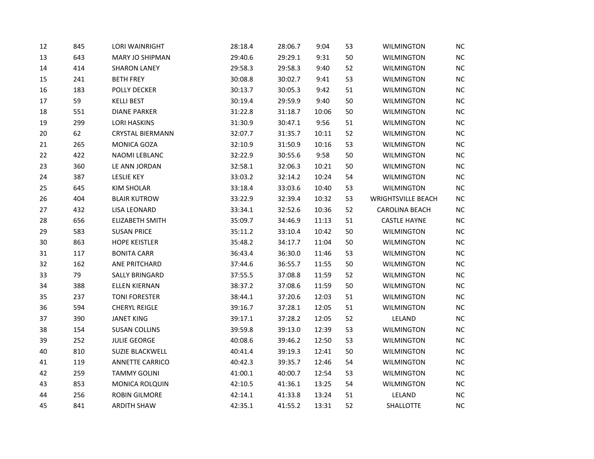| 12     | 845 | <b>LORI WAINRIGHT</b>   | 28:18.4 | 28:06.7 | 9:04  | 53 | <b>WILMINGTON</b>         | <b>NC</b> |
|--------|-----|-------------------------|---------|---------|-------|----|---------------------------|-----------|
| 13     | 643 | MARY JO SHIPMAN         | 29:40.6 | 29:29.1 | 9:31  | 50 | <b>WILMINGTON</b>         | $\sf NC$  |
| 14     | 414 | <b>SHARON LANEY</b>     | 29:58.3 | 29:58.3 | 9:40  | 52 | <b>WILMINGTON</b>         | NC        |
| 15     | 241 | <b>BETH FREY</b>        | 30:08.8 | 30:02.7 | 9:41  | 53 | <b>WILMINGTON</b>         | NC        |
| 16     | 183 | POLLY DECKER            | 30:13.7 | 30:05.3 | 9:42  | 51 | <b>WILMINGTON</b>         | NC        |
| 17     | 59  | <b>KELLI BEST</b>       | 30:19.4 | 29:59.9 | 9:40  | 50 | <b>WILMINGTON</b>         | NC        |
| 18     | 551 | <b>DIANE PARKER</b>     | 31:22.8 | 31:18.7 | 10:06 | 50 | <b>WILMINGTON</b>         | NC        |
| 19     | 299 | <b>LORI HASKINS</b>     | 31:30.9 | 30:47.1 | 9:56  | 51 | <b>WILMINGTON</b>         | NC        |
| $20\,$ | 62  | <b>CRYSTAL BIERMANN</b> | 32:07.7 | 31:35.7 | 10:11 | 52 | <b>WILMINGTON</b>         | NC        |
| 21     | 265 | MONICA GOZA             | 32:10.9 | 31:50.9 | 10:16 | 53 | <b>WILMINGTON</b>         | NC        |
| 22     | 422 | NAOMI LEBLANC           | 32:22.9 | 30:55.6 | 9:58  | 50 | <b>WILMINGTON</b>         | <b>NC</b> |
| 23     | 360 | LE ANN JORDAN           | 32:58.1 | 32:06.3 | 10:21 | 50 | <b>WILMINGTON</b>         | NC        |
| 24     | 387 | <b>LESLIE KEY</b>       | 33:03.2 | 32:14.2 | 10:24 | 54 | <b>WILMINGTON</b>         | <b>NC</b> |
| 25     | 645 | <b>KIM SHOLAR</b>       | 33:18.4 | 33:03.6 | 10:40 | 53 | <b>WILMINGTON</b>         | NC        |
| 26     | 404 | <b>BLAIR KUTROW</b>     | 33:22.9 | 32:39.4 | 10:32 | 53 | <b>WRIGHTSVILLE BEACH</b> | NC        |
| 27     | 432 | <b>LISA LEONARD</b>     | 33:34.1 | 32:52.6 | 10:36 | 52 | CAROLINA BEACH            | NC.       |
| 28     | 656 | ELIZABETH SMITH         | 35:09.7 | 34:46.9 | 11:13 | 51 | <b>CASTLE HAYNE</b>       | NC        |
| 29     | 583 | <b>SUSAN PRICE</b>      | 35:11.2 | 33:10.4 | 10:42 | 50 | <b>WILMINGTON</b>         | NC        |
| $30\,$ | 863 | <b>HOPE KEISTLER</b>    | 35:48.2 | 34:17.7 | 11:04 | 50 | <b>WILMINGTON</b>         | NC        |
| 31     | 117 | <b>BONITA CARR</b>      | 36:43.4 | 36:30.0 | 11:46 | 53 | <b>WILMINGTON</b>         | NC        |
| 32     | 162 | ANE PRITCHARD           | 37:44.6 | 36:55.7 | 11:55 | 50 | <b>WILMINGTON</b>         | NC        |
| 33     | 79  | SALLY BRINGARD          | 37:55.5 | 37:08.8 | 11:59 | 52 | <b>WILMINGTON</b>         | NC        |
| 34     | 388 | <b>ELLEN KIERNAN</b>    | 38:37.2 | 37:08.6 | 11:59 | 50 | <b>WILMINGTON</b>         | NC        |
| 35     | 237 | <b>TONI FORESTER</b>    | 38:44.1 | 37:20.6 | 12:03 | 51 | <b>WILMINGTON</b>         | NC        |
| 36     | 594 | <b>CHERYL REIGLE</b>    | 39:16.7 | 37:28.1 | 12:05 | 51 | <b>WILMINGTON</b>         | <b>NC</b> |
| 37     | 390 | <b>JANET KING</b>       | 39:17.1 | 37:28.2 | 12:05 | 52 | LELAND                    | NC        |
| 38     | 154 | <b>SUSAN COLLINS</b>    | 39:59.8 | 39:13.0 | 12:39 | 53 | <b>WILMINGTON</b>         | NC        |
| 39     | 252 | <b>JULIE GEORGE</b>     | 40:08.6 | 39:46.2 | 12:50 | 53 | <b>WILMINGTON</b>         | NC        |
| 40     | 810 | SUZIE BLACKWELL         | 40:41.4 | 39:19.3 | 12:41 | 50 | <b>WILMINGTON</b>         | NC        |
| 41     | 119 | <b>ANNETTE CARRICO</b>  | 40:42.3 | 39:35.7 | 12:46 | 54 | <b>WILMINGTON</b>         | <b>NC</b> |
| 42     | 259 | <b>TAMMY GOLINI</b>     | 41:00.1 | 40:00.7 | 12:54 | 53 | <b>WILMINGTON</b>         | NC        |
| 43     | 853 | MONICA ROLQUIN          | 42:10.5 | 41:36.1 | 13:25 | 54 | <b>WILMINGTON</b>         | NC        |
| 44     | 256 | ROBIN GILMORE           | 42:14.1 | 41:33.8 | 13:24 | 51 | LELAND                    | NC        |
| 45     | 841 | <b>ARDITH SHAW</b>      | 42:35.1 | 41:55.2 | 13:31 | 52 | SHALLOTTE                 | NC        |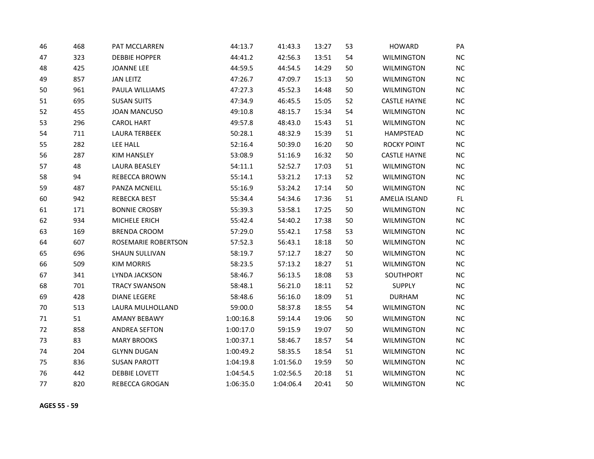| 46     | 468 | PAT MCCLARREN              | 44:13.7   | 41:43.3   | 13:27 | 53 | <b>HOWARD</b>       | PA        |
|--------|-----|----------------------------|-----------|-----------|-------|----|---------------------|-----------|
| 47     | 323 | <b>DEBBIE HOPPER</b>       | 44:41.2   | 42:56.3   | 13:51 | 54 | <b>WILMINGTON</b>   | NC        |
| 48     | 425 | <b>JOANNE LEE</b>          | 44:59.5   | 44:54.5   | 14:29 | 50 | <b>WILMINGTON</b>   | NC        |
| 49     | 857 | <b>JAN LEITZ</b>           | 47:26.7   | 47:09.7   | 15:13 | 50 | <b>WILMINGTON</b>   | NC        |
| 50     | 961 | PAULA WILLIAMS             | 47:27.3   | 45:52.3   | 14:48 | 50 | <b>WILMINGTON</b>   | <b>NC</b> |
| 51     | 695 | <b>SUSAN SUITS</b>         | 47:34.9   | 46:45.5   | 15:05 | 52 | <b>CASTLE HAYNE</b> | <b>NC</b> |
| 52     | 455 | <b>JOAN MANCUSO</b>        | 49:10.8   | 48:15.7   | 15:34 | 54 | <b>WILMINGTON</b>   | <b>NC</b> |
| 53     | 296 | <b>CAROL HART</b>          | 49:57.8   | 48:43.0   | 15:43 | 51 | <b>WILMINGTON</b>   | NC        |
| 54     | 711 | <b>LAURA TERBEEK</b>       | 50:28.1   | 48:32.9   | 15:39 | 51 | HAMPSTEAD           | <b>NC</b> |
| 55     | 282 | LEE HALL                   | 52:16.4   | 50:39.0   | 16:20 | 50 | <b>ROCKY POINT</b>  | <b>NC</b> |
| 56     | 287 | <b>KIM HANSLEY</b>         | 53:08.9   | 51:16.9   | 16:32 | 50 | <b>CASTLE HAYNE</b> | <b>NC</b> |
| 57     | 48  | LAURA BEASLEY              | 54:11.1   | 52:52.7   | 17:03 | 51 | <b>WILMINGTON</b>   | <b>NC</b> |
| 58     | 94  | REBECCA BROWN              | 55:14.1   | 53:21.2   | 17:13 | 52 | <b>WILMINGTON</b>   | NC        |
| 59     | 487 | PANZA MCNEILL              | 55:16.9   | 53:24.2   | 17:14 | 50 | <b>WILMINGTON</b>   | <b>NC</b> |
| 60     | 942 | REBECKA BEST               | 55:34.4   | 54:34.6   | 17:36 | 51 | AMELIA ISLAND       | FL.       |
| 61     | 171 | <b>BONNIE CROSBY</b>       | 55:39.3   | 53:58.1   | 17:25 | 50 | <b>WILMINGTON</b>   | NC        |
| 62     | 934 | MICHELE ERICH              | 55:42.4   | 54:40.2   | 17:38 | 50 | <b>WILMINGTON</b>   | <b>NC</b> |
| 63     | 169 | <b>BRENDA CROOM</b>        | 57:29.0   | 55:42.1   | 17:58 | 53 | <b>WILMINGTON</b>   | NC        |
| 64     | 607 | <b>ROSEMARIE ROBERTSON</b> | 57:52.3   | 56:43.1   | 18:18 | 50 | <b>WILMINGTON</b>   | <b>NC</b> |
| 65     | 696 | <b>SHAUN SULLIVAN</b>      | 58:19.7   | 57:12.7   | 18:27 | 50 | <b>WILMINGTON</b>   | <b>NC</b> |
| 66     | 509 | <b>KIM MORRIS</b>          | 58:23.5   | 57:13.2   | 18:27 | 51 | <b>WILMINGTON</b>   | <b>NC</b> |
| 67     | 341 | LYNDA JACKSON              | 58:46.7   | 56:13.5   | 18:08 | 53 | SOUTHPORT           | NC        |
| 68     | 701 | <b>TRACY SWANSON</b>       | 58:48.1   | 56:21.0   | 18:11 | 52 | <b>SUPPLY</b>       | <b>NC</b> |
| 69     | 428 | <b>DIANE LEGERE</b>        | 58:48.6   | 56:16.0   | 18:09 | 51 | <b>DURHAM</b>       | <b>NC</b> |
| 70     | 513 | LAURA MULHOLLAND           | 59:00.0   | 58:37.8   | 18:55 | 54 | <b>WILMINGTON</b>   | <b>NC</b> |
| $71\,$ | 51  | <b>AMANY BEBAWY</b>        | 1:00:16.8 | 59:14.4   | 19:06 | 50 | <b>WILMINGTON</b>   | NC        |
| 72     | 858 | <b>ANDREA SEFTON</b>       | 1:00:17.0 | 59:15.9   | 19:07 | 50 | <b>WILMINGTON</b>   | <b>NC</b> |
| 73     | 83  | <b>MARY BROOKS</b>         | 1:00:37.1 | 58:46.7   | 18:57 | 54 | <b>WILMINGTON</b>   | <b>NC</b> |
| 74     | 204 | <b>GLYNN DUGAN</b>         | 1:00:49.2 | 58:35.5   | 18:54 | 51 | <b>WILMINGTON</b>   | <b>NC</b> |
| 75     | 836 | <b>SUSAN PAROTT</b>        | 1:04:19.8 | 1:01:56.0 | 19:59 | 50 | <b>WILMINGTON</b>   | <b>NC</b> |
| 76     | 442 | <b>DEBBIE LOVETT</b>       | 1:04:54.5 | 1:02:56.5 | 20:18 | 51 | <b>WILMINGTON</b>   | <b>NC</b> |
| 77     | 820 | <b>REBECCA GROGAN</b>      | 1:06:35.0 | 1:04:06.4 | 20:41 | 50 | <b>WILMINGTON</b>   | <b>NC</b> |

**AGES 55 - 59**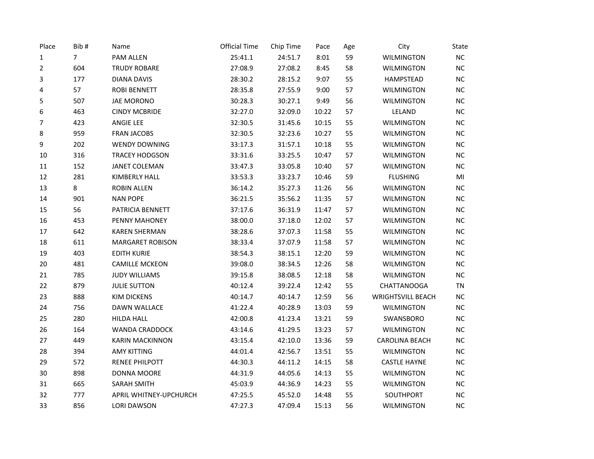| Place          | Bib#           | Name                    | <b>Official Time</b> | Chip Time | Pace  | Age | City                     | State     |
|----------------|----------------|-------------------------|----------------------|-----------|-------|-----|--------------------------|-----------|
| 1              | $\overline{7}$ | PAM ALLEN               | 25:41.1              | 24:51.7   | 8:01  | 59  | <b>WILMINGTON</b>        | <b>NC</b> |
| $\overline{2}$ | 604            | <b>TRUDY ROBARE</b>     | 27:08.9              | 27:08.2   | 8:45  | 58  | <b>WILMINGTON</b>        | $NC$      |
| 3              | 177            | <b>DIANA DAVIS</b>      | 28:30.2              | 28:15.2   | 9:07  | 55  | <b>HAMPSTEAD</b>         | NC        |
| 4              | 57             | <b>ROBI BENNETT</b>     | 28:35.8              | 27:55.9   | 9:00  | 57  | <b>WILMINGTON</b>        | NC        |
| 5              | 507            | JAE MORONO              | 30:28.3              | 30:27.1   | 9:49  | 56  | <b>WILMINGTON</b>        | NC        |
| 6              | 463            | <b>CINDY MCBRIDE</b>    | 32:27.0              | 32:09.0   | 10:22 | 57  | LELAND                   | $NC$      |
| 7              | 423            | <b>ANGIE LEE</b>        | 32:30.5              | 31:45.6   | 10:15 | 55  | <b>WILMINGTON</b>        | NC        |
| 8              | 959            | <b>FRAN JACOBS</b>      | 32:30.5              | 32:23.6   | 10:27 | 55  | <b>WILMINGTON</b>        | <b>NC</b> |
| 9              | 202            | <b>WENDY DOWNING</b>    | 33:17.3              | 31:57.1   | 10:18 | 55  | <b>WILMINGTON</b>        | $NC$      |
| 10             | 316            | <b>TRACEY HODGSON</b>   | 33:31.6              | 33:25.5   | 10:47 | 57  | <b>WILMINGTON</b>        | NC        |
| 11             | 152            | <b>JANET COLEMAN</b>    | 33:47.3              | 33:05.8   | 10:40 | 57  | <b>WILMINGTON</b>        | <b>NC</b> |
| 12             | 281            | KIMBERLY HALL           | 33:53.3              | 33:23.7   | 10:46 | 59  | <b>FLUSHING</b>          | MI        |
| 13             | 8              | <b>ROBIN ALLEN</b>      | 36:14.2              | 35:27.3   | 11:26 | 56  | <b>WILMINGTON</b>        | NC        |
| $14\,$         | 901            | <b>NAN POPE</b>         | 36:21.5              | 35:56.2   | 11:35 | 57  | <b>WILMINGTON</b>        | NC        |
| 15             | 56             | PATRICIA BENNETT        | 37:17.6              | 36:31.9   | 11:47 | 57  | WILMINGTON               | NC        |
| 16             | 453            | PENNY MAHONEY           | 38:00.0              | 37:18.0   | 12:02 | 57  | <b>WILMINGTON</b>        | $NC$      |
| 17             | 642            | <b>KAREN SHERMAN</b>    | 38:28.6              | 37:07.3   | 11:58 | 55  | <b>WILMINGTON</b>        | NC        |
| 18             | 611            | <b>MARGARET ROBISON</b> | 38:33.4              | 37:07.9   | 11:58 | 57  | <b>WILMINGTON</b>        | $NC$      |
| 19             | 403            | <b>EDITH KURIE</b>      | 38:54.3              | 38:15.1   | 12:20 | 59  | <b>WILMINGTON</b>        | NC        |
| 20             | 481            | <b>CAMILLE MCKEON</b>   | 39:08.0              | 38:34.5   | 12:26 | 58  | WILMINGTON               | <b>NC</b> |
| 21             | 785            | <b>JUDY WILLIAMS</b>    | 39:15.8              | 38:08.5   | 12:18 | 58  | <b>WILMINGTON</b>        | <b>NC</b> |
| 22             | 879            | <b>JULIE SUTTON</b>     | 40:12.4              | 39:22.4   | 12:42 | 55  | <b>CHATTANOOGA</b>       | <b>TN</b> |
| 23             | 888            | <b>KIM DICKENS</b>      | 40:14.7              | 40:14.7   | 12:59 | 56  | <b>WRIGHTSVILL BEACH</b> | NC        |
| 24             | 756            | DAWN WALLACE            | 41:22.4              | 40:28.9   | 13:03 | 59  | <b>WILMINGTON</b>        | <b>NC</b> |
| 25             | 280            | HILDA HALL              | 42:00.8              | 41:23.4   | 13:21 | 59  | SWANSBORO                | $NC$      |
| 26             | 164            | <b>WANDA CRADDOCK</b>   | 43:14.6              | 41:29.5   | 13:23 | 57  | <b>WILMINGTON</b>        | NC        |
| 27             | 449            | <b>KARIN MACKINNON</b>  | 43:15.4              | 42:10.0   | 13:36 | 59  | <b>CAROLINA BEACH</b>    | NC        |
| 28             | 394            | <b>AMY KITTING</b>      | 44:01.4              | 42:56.7   | 13:51 | 55  | <b>WILMINGTON</b>        | NC        |
| 29             | 572            | RENEE PHILPOTT          | 44:30.3              | 44:11.2   | 14:15 | 58  | <b>CASTLE HAYNE</b>      | $NC$      |
| 30             | 898            | DONNA MOORE             | 44:31.9              | 44:05.6   | 14:13 | 55  | <b>WILMINGTON</b>        | NC        |
| 31             | 665            | <b>SARAH SMITH</b>      | 45:03.9              | 44:36.9   | 14:23 | 55  | WILMINGTON               | NC        |
| 32             | 777            | APRIL WHITNEY-UPCHURCH  | 47:25.5              | 45:52.0   | 14:48 | 55  | SOUTHPORT                | NC        |
| 33             | 856            | <b>LORI DAWSON</b>      | 47:27.3              | 47:09.4   | 15:13 | 56  | <b>WILMINGTON</b>        | NC        |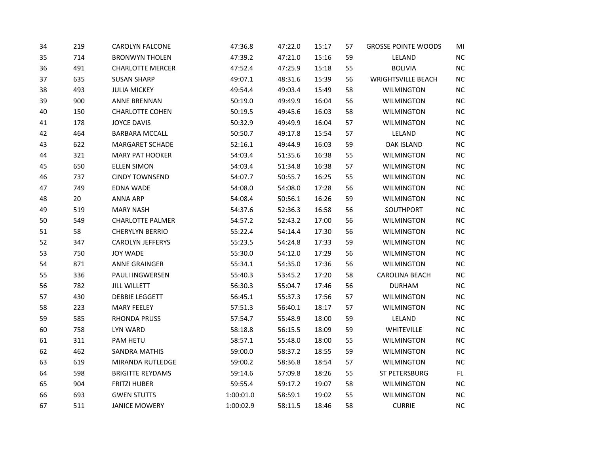| 34 | 219 | CAROLYN FALCONE         | 47:36.8   | 47:22.0 | 15:17 | 57 | <b>GROSSE POINTE WOODS</b> | MI        |
|----|-----|-------------------------|-----------|---------|-------|----|----------------------------|-----------|
| 35 | 714 | <b>BRONWYN THOLEN</b>   | 47:39.2   | 47:21.0 | 15:16 | 59 | LELAND                     | $NC$      |
| 36 | 491 | <b>CHARLOTTE MERCER</b> | 47:52.4   | 47:25.9 | 15:18 | 55 | <b>BOLIVIA</b>             | NC        |
| 37 | 635 | <b>SUSAN SHARP</b>      | 49:07.1   | 48:31.6 | 15:39 | 56 | <b>WRIGHTSVILLE BEACH</b>  | NC        |
| 38 | 493 | <b>JULIA MICKEY</b>     | 49:54.4   | 49:03.4 | 15:49 | 58 | <b>WILMINGTON</b>          | NC        |
| 39 | 900 | <b>ANNE BRENNAN</b>     | 50:19.0   | 49:49.9 | 16:04 | 56 | <b>WILMINGTON</b>          | $NC$      |
| 40 | 150 | <b>CHARLOTTE COHEN</b>  | 50:19.5   | 49:45.6 | 16:03 | 58 | <b>WILMINGTON</b>          | NC        |
| 41 | 178 | <b>JOYCE DAVIS</b>      | 50:32.9   | 49:49.9 | 16:04 | 57 | <b>WILMINGTON</b>          | NC        |
| 42 | 464 | <b>BARBARA MCCALL</b>   | 50:50.7   | 49:17.8 | 15:54 | 57 | LELAND                     | NC        |
| 43 | 622 | <b>MARGARET SCHADE</b>  | 52:16.1   | 49:44.9 | 16:03 | 59 | <b>OAK ISLAND</b>          | NC        |
| 44 | 321 | <b>MARY PAT HOOKER</b>  | 54:03.4   | 51:35.6 | 16:38 | 55 | <b>WILMINGTON</b>          | NC        |
| 45 | 650 | <b>ELLEN SIMON</b>      | 54:03.4   | 51:34.8 | 16:38 | 57 | WILMINGTON                 | <b>NC</b> |
| 46 | 737 | <b>CINDY TOWNSEND</b>   | 54:07.7   | 50:55.7 | 16:25 | 55 | <b>WILMINGTON</b>          | NC        |
| 47 | 749 | <b>EDNA WADE</b>        | 54:08.0   | 54:08.0 | 17:28 | 56 | <b>WILMINGTON</b>          | NC        |
| 48 | 20  | <b>ANNA ARP</b>         | 54:08.4   | 50:56.1 | 16:26 | 59 | <b>WILMINGTON</b>          | $NC$      |
| 49 | 519 | <b>MARY NASH</b>        | 54:37.6   | 52:36.3 | 16:58 | 56 | SOUTHPORT                  | <b>NC</b> |
| 50 | 549 | <b>CHARLOTTE PALMER</b> | 54:57.2   | 52:43.2 | 17:00 | 56 | <b>WILMINGTON</b>          | NC        |
| 51 | 58  | <b>CHERYLYN BERRIO</b>  | 55:22.4   | 54:14.4 | 17:30 | 56 | <b>WILMINGTON</b>          | NC        |
| 52 | 347 | CAROLYN JEFFERYS        | 55:23.5   | 54:24.8 | 17:33 | 59 | <b>WILMINGTON</b>          | NC        |
| 53 | 750 | <b>JOY WADE</b>         | 55:30.0   | 54:12.0 | 17:29 | 56 | <b>WILMINGTON</b>          | NC        |
| 54 | 871 | ANNE GRAINGER           | 55:34.1   | 54:35.0 | 17:36 | 56 | <b>WILMINGTON</b>          | NC        |
| 55 | 336 | PAULI INGWERSEN         | 55:40.3   | 53:45.2 | 17:20 | 58 | <b>CAROLINA BEACH</b>      | NC        |
| 56 | 782 | <b>JILL WILLETT</b>     | 56:30.3   | 55:04.7 | 17:46 | 56 | <b>DURHAM</b>              | $NC$      |
| 57 | 430 | <b>DEBBIE LEGGETT</b>   | 56:45.1   | 55:37.3 | 17:56 | 57 | <b>WILMINGTON</b>          | $NC$      |
| 58 | 223 | <b>MARY FEELEY</b>      | 57:51.3   | 56:40.1 | 18:17 | 57 | <b>WILMINGTON</b>          | NC        |
| 59 | 585 | <b>RHONDA PRUSS</b>     | 57:54.7   | 55:48.9 | 18:00 | 59 | LELAND                     | NC        |
| 60 | 758 | LYN WARD                | 58:18.8   | 56:15.5 | 18:09 | 59 | WHITEVILLE                 | NC        |
| 61 | 311 | PAM HETU                | 58:57.1   | 55:48.0 | 18:00 | 55 | <b>WILMINGTON</b>          | NC        |
| 62 | 462 | SANDRA MATHIS           | 59:00.0   | 58:37.2 | 18:55 | 59 | <b>WILMINGTON</b>          | NC        |
| 63 | 619 | MIRANDA RUTLEDGE        | 59:00.2   | 58:36.8 | 18:54 | 57 | WILMINGTON                 | NC        |
| 64 | 598 | <b>BRIGITTE REYDAMS</b> | 59:14.6   | 57:09.8 | 18:26 | 55 | ST PETERSBURG              | FL.       |
| 65 | 904 | <b>FRITZI HUBER</b>     | 59:55.4   | 59:17.2 | 19:07 | 58 | <b>WILMINGTON</b>          | $NC$      |
| 66 | 693 | <b>GWEN STUTTS</b>      | 1:00:01.0 | 58:59.1 | 19:02 | 55 | <b>WILMINGTON</b>          | NC        |
| 67 | 511 | <b>JANICE MOWERY</b>    | 1:00:02.9 | 58:11.5 | 18:46 | 58 | <b>CURRIE</b>              | $NC$      |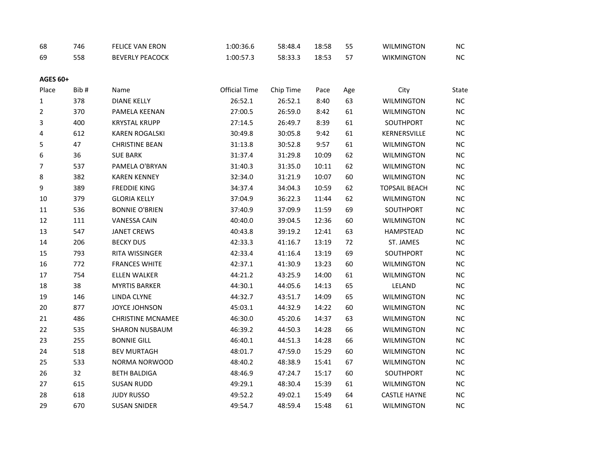| 68              | 746  | <b>FELICE VAN ERON</b>   | 1:00:36.6            | 58:48.4   | 18:58 | 55  | <b>WILMINGTON</b>    | NC        |
|-----------------|------|--------------------------|----------------------|-----------|-------|-----|----------------------|-----------|
| 69              | 558  | <b>BEVERLY PEACOCK</b>   | 1:00:57.3            | 58:33.3   | 18:53 | 57  | <b>WIKMINGTON</b>    | NC        |
| <b>AGES 60+</b> |      |                          |                      |           |       |     |                      |           |
| Place           | Bib# | Name                     | <b>Official Time</b> | Chip Time | Pace  | Age | City                 | State     |
| $\mathbf 1$     | 378  | <b>DIANE KELLY</b>       | 26:52.1              | 26:52.1   | 8:40  | 63  | <b>WILMINGTON</b>    | NC        |
| 2               | 370  | PAMELA KEENAN            | 27:00.5              | 26:59.0   | 8:42  | 61  | <b>WILMINGTON</b>    | <b>NC</b> |
| 3               | 400  | <b>KRYSTAL KRUPP</b>     | 27:14.5              | 26:49.7   | 8:39  | 61  | SOUTHPORT            | <b>NC</b> |
| 4               | 612  | <b>KAREN ROGALSKI</b>    | 30:49.8              | 30:05.8   | 9:42  | 61  | KERNERSVILLE         | NC        |
| 5               | 47   | <b>CHRISTINE BEAN</b>    | 31:13.8              | 30:52.8   | 9:57  | 61  | <b>WILMINGTON</b>    | NC        |
| 6               | 36   | <b>SUE BARK</b>          | 31:37.4              | 31:29.8   | 10:09 | 62  | <b>WILMINGTON</b>    | <b>NC</b> |
| $\overline{7}$  | 537  | PAMELA O'BRYAN           | 31:40.3              | 31:35.0   | 10:11 | 62  | WILMINGTON           | <b>NC</b> |
| 8               | 382  | <b>KAREN KENNEY</b>      | 32:34.0              | 31:21.9   | 10:07 | 60  | <b>WILMINGTON</b>    | <b>NC</b> |
| 9               | 389  | <b>FREDDIE KING</b>      | 34:37.4              | 34:04.3   | 10:59 | 62  | <b>TOPSAIL BEACH</b> | NC        |
| 10              | 379  | <b>GLORIA KELLY</b>      | 37:04.9              | 36:22.3   | 11:44 | 62  | <b>WILMINGTON</b>    | <b>NC</b> |
| 11              | 536  | <b>BONNIE O'BRIEN</b>    | 37:40.9              | 37:09.9   | 11:59 | 69  | SOUTHPORT            | <b>NC</b> |
| 12              | 111  | <b>VANESSA CAIN</b>      | 40:40.0              | 39:04.5   | 12:36 | 60  | <b>WILMINGTON</b>    | NC        |
| 13              | 547  | <b>JANET CREWS</b>       | 40:43.8              | 39:19.2   | 12:41 | 63  | <b>HAMPSTEAD</b>     | NC        |
| 14              | 206  | <b>BECKY DUS</b>         | 42:33.3              | 41:16.7   | 13:19 | 72  | ST. JAMES            | <b>NC</b> |
| 15              | 793  | RITA WISSINGER           | 42:33.4              | 41:16.4   | 13:19 | 69  | SOUTHPORT            | <b>NC</b> |
| 16              | 772  | <b>FRANCES WHITE</b>     | 42:37.1              | 41:30.9   | 13:23 | 60  | <b>WILMINGTON</b>    | <b>NC</b> |
| 17              | 754  | ELLEN WALKER             | 44:21.2              | 43:25.9   | 14:00 | 61  | <b>WILMINGTON</b>    | NC        |
| 18              | 38   | <b>MYRTIS BARKER</b>     | 44:30.1              | 44:05.6   | 14:13 | 65  | LELAND               | <b>NC</b> |
| 19              | 146  | LINDA CLYNE              | 44:32.7              | 43:51.7   | 14:09 | 65  | <b>WILMINGTON</b>    | <b>NC</b> |
| $20\,$          | 877  | JOYCE JOHNSON            | 45:03.1              | 44:32.9   | 14:22 | 60  | <b>WILMINGTON</b>    | NC        |
| 21              | 486  | <b>CHRISTINE MCNAMEE</b> | 46:30.0              | 45:20.6   | 14:37 | 63  | <b>WILMINGTON</b>    | NC        |
| 22              | 535  | <b>SHARON NUSBAUM</b>    | 46:39.2              | 44:50.3   | 14:28 | 66  | WILMINGTON           | <b>NC</b> |
| 23              | 255  | <b>BONNIE GILL</b>       | 46:40.1              | 44:51.3   | 14:28 | 66  | <b>WILMINGTON</b>    | <b>NC</b> |
| 24              | 518  | <b>BEV MURTAGH</b>       | 48:01.7              | 47:59.0   | 15:29 | 60  | <b>WILMINGTON</b>    | <b>NC</b> |
| 25              | 533  | NORMA NORWOOD            | 48:40.2              | 48:38.9   | 15:41 | 67  | <b>WILMINGTON</b>    | NC        |
| 26              | 32   | <b>BETH BALDIGA</b>      | 48:46.9              | 47:24.7   | 15:17 | 60  | SOUTHPORT            | <b>NC</b> |
| 27              | 615  | <b>SUSAN RUDD</b>        | 49:29.1              | 48:30.4   | 15:39 | 61  | <b>WILMINGTON</b>    | <b>NC</b> |
| 28              | 618  | <b>JUDY RUSSO</b>        | 49:52.2              | 49:02.1   | 15:49 | 64  | <b>CASTLE HAYNE</b>  | NC        |
| 29              | 670  | <b>SUSAN SNIDER</b>      | 49:54.7              | 48:59.4   | 15:48 | 61  | <b>WILMINGTON</b>    | NC        |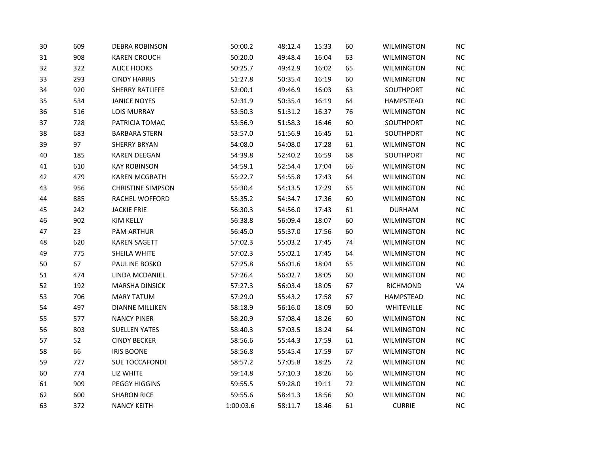| 30 | 609 | <b>DEBRA ROBINSON</b>    | 50:00.2   | 48:12.4 | 15:33 | 60 | <b>WILMINGTON</b> | <b>NC</b>  |
|----|-----|--------------------------|-----------|---------|-------|----|-------------------|------------|
| 31 | 908 | <b>KAREN CROUCH</b>      | 50:20.0   | 49:48.4 | 16:04 | 63 | <b>WILMINGTON</b> | ${\sf NC}$ |
| 32 | 322 | <b>ALICE HOOKS</b>       | 50:25.7   | 49:42.9 | 16:02 | 65 | <b>WILMINGTON</b> | NC         |
| 33 | 293 | <b>CINDY HARRIS</b>      | 51:27.8   | 50:35.4 | 16:19 | 60 | <b>WILMINGTON</b> | NC         |
| 34 | 920 | <b>SHERRY RATLIFFE</b>   | 52:00.1   | 49:46.9 | 16:03 | 63 | SOUTHPORT         | NC         |
| 35 | 534 | <b>JANICE NOYES</b>      | 52:31.9   | 50:35.4 | 16:19 | 64 | HAMPSTEAD         | <b>NC</b>  |
| 36 | 516 | <b>LOIS MURRAY</b>       | 53:50.3   | 51:31.2 | 16:37 | 76 | <b>WILMINGTON</b> | NC         |
| 37 | 728 | PATRICIA TOMAC           | 53:56.9   | 51:58.3 | 16:46 | 60 | SOUTHPORT         | NC         |
| 38 | 683 | <b>BARBARA STERN</b>     | 53:57.0   | 51:56.9 | 16:45 | 61 | SOUTHPORT         | NC         |
| 39 | 97  | <b>SHERRY BRYAN</b>      | 54:08.0   | 54:08.0 | 17:28 | 61 | <b>WILMINGTON</b> | NC         |
| 40 | 185 | <b>KAREN DEEGAN</b>      | 54:39.8   | 52:40.2 | 16:59 | 68 | SOUTHPORT         | NC         |
| 41 | 610 | <b>KAY ROBINSON</b>      | 54:59.1   | 52:54.4 | 17:04 | 66 | <b>WILMINGTON</b> | NC         |
| 42 | 479 | <b>KAREN MCGRATH</b>     | 55:22.7   | 54:55.8 | 17:43 | 64 | <b>WILMINGTON</b> | <b>NC</b>  |
| 43 | 956 | <b>CHRISTINE SIMPSON</b> | 55:30.4   | 54:13.5 | 17:29 | 65 | <b>WILMINGTON</b> | <b>NC</b>  |
| 44 | 885 | RACHEL WOFFORD           | 55:35.2   | 54:34.7 | 17:36 | 60 | <b>WILMINGTON</b> | NC         |
| 45 | 242 | <b>JACKIE FRIE</b>       | 56:30.3   | 54:56.0 | 17:43 | 61 | <b>DURHAM</b>     | <b>NC</b>  |
| 46 | 902 | <b>KIM KELLY</b>         | 56:38.8   | 56:09.4 | 18:07 | 60 | <b>WILMINGTON</b> | NC         |
| 47 | 23  | PAM ARTHUR               | 56:45.0   | 55:37.0 | 17:56 | 60 | <b>WILMINGTON</b> | NC         |
| 48 | 620 | <b>KAREN SAGETT</b>      | 57:02.3   | 55:03.2 | 17:45 | 74 | <b>WILMINGTON</b> | <b>NC</b>  |
| 49 | 775 | SHEILA WHITE             | 57:02.3   | 55:02.1 | 17:45 | 64 | <b>WILMINGTON</b> | <b>NC</b>  |
| 50 | 67  | PAULINE BOSKO            | 57:25.8   | 56:01.6 | 18:04 | 65 | <b>WILMINGTON</b> | NC         |
| 51 | 474 | LINDA MCDANIEL           | 57:26.4   | 56:02.7 | 18:05 | 60 | <b>WILMINGTON</b> | NC         |
| 52 | 192 | MARSHA DINSICK           | 57:27.3   | 56:03.4 | 18:05 | 67 | RICHMOND          | VA         |
| 53 | 706 | <b>MARY TATUM</b>        | 57:29.0   | 55:43.2 | 17:58 | 67 | <b>HAMPSTEAD</b>  | NC         |
| 54 | 497 | <b>DIANNE MILLIKEN</b>   | 58:18.9   | 56:16.0 | 18:09 | 60 | WHITEVILLE        | <b>NC</b>  |
| 55 | 577 | <b>NANCY PINER</b>       | 58:20.9   | 57:08.4 | 18:26 | 60 | <b>WILMINGTON</b> | NC         |
| 56 | 803 | <b>SUELLEN YATES</b>     | 58:40.3   | 57:03.5 | 18:24 | 64 | <b>WILMINGTON</b> | <b>NC</b>  |
| 57 | 52  | <b>CINDY BECKER</b>      | 58:56.6   | 55:44.3 | 17:59 | 61 | <b>WILMINGTON</b> | NC         |
| 58 | 66  | <b>IRIS BOONE</b>        | 58:56.8   | 55:45.4 | 17:59 | 67 | <b>WILMINGTON</b> | NC         |
| 59 | 727 | <b>SUE TOCCAFONDI</b>    | 58:57.2   | 57:05.8 | 18:25 | 72 | WILMINGTON        | <b>NC</b>  |
| 60 | 774 | LIZ WHITE                | 59:14.8   | 57:10.3 | 18:26 | 66 | <b>WILMINGTON</b> | NC         |
| 61 | 909 | PEGGY HIGGINS            | 59:55.5   | 59:28.0 | 19:11 | 72 | <b>WILMINGTON</b> | NC         |
| 62 | 600 | <b>SHARON RICE</b>       | 59:55.6   | 58:41.3 | 18:56 | 60 | <b>WILMINGTON</b> | <b>NC</b>  |
| 63 | 372 | <b>NANCY KEITH</b>       | 1:00:03.6 | 58:11.7 | 18:46 | 61 | <b>CURRIE</b>     | NC         |